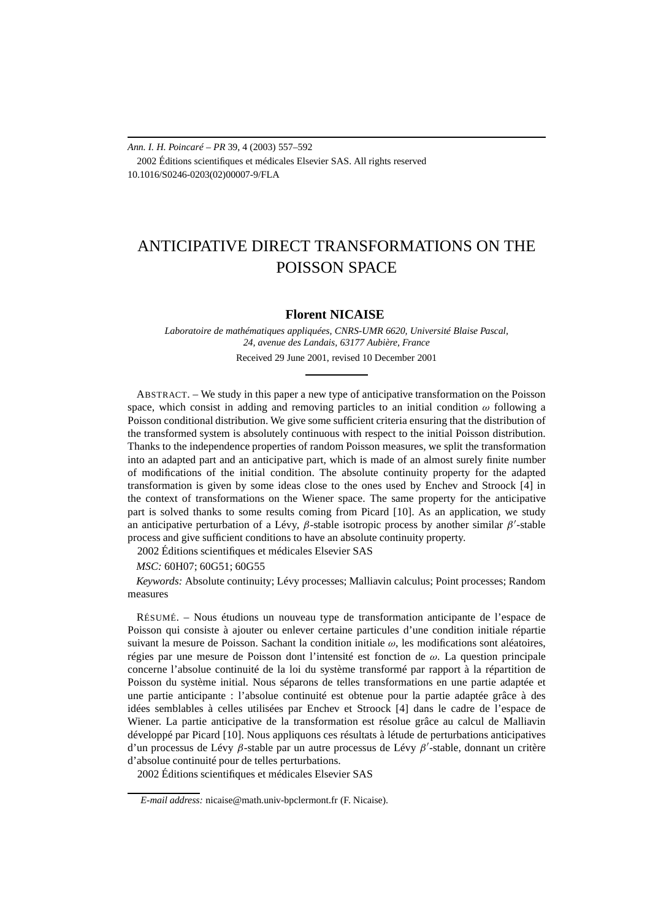*Ann. I. H. Poincaré – PR* 39, 4 (2003) 557–592 2002 Éditions scientifiques et médicales Elsevier SAS. All rights reserved 10.1016/S0246-0203(02)00007-9/FLA

# ANTICIPATIVE DIRECT TRANSFORMATIONS ON THE POISSON SPACE

# **Florent NICAISE**

*Laboratoire de mathématiques appliquées, CNRS-UMR 6620, Université Blaise Pascal, 24, avenue des Landais, 63177 Aubière, France* Received 29 June 2001, revised 10 December 2001

ABSTRACT. – We study in this paper a new type of anticipative transformation on the Poisson space, which consist in adding and removing particles to an initial condition *ω* following a Poisson conditional distribution. We give some sufficient criteria ensuring that the distribution of the transformed system is absolutely continuous with respect to the initial Poisson distribution. Thanks to the independence properties of random Poisson measures, we split the transformation into an adapted part and an anticipative part, which is made of an almost surely finite number of modifications of the initial condition. The absolute continuity property for the adapted transformation is given by some ideas close to the ones used by Enchev and Stroock [4] in the context of transformations on the Wiener space. The same property for the anticipative part is solved thanks to some results coming from Picard [10]. As an application, we study an anticipative perturbation of a Lévy,  $\beta$ -stable isotropic process by another similar  $\beta'$ -stable process and give sufficient conditions to have an absolute continuity property.

2002 Éditions scientifiques et médicales Elsevier SAS

## *MSC:* 60H07; 60G51; 60G55

*Keywords:* Absolute continuity; Lévy processes; Malliavin calculus; Point processes; Random measures

RÉSUMÉ. – Nous étudions un nouveau type de transformation anticipante de l'espace de Poisson qui consiste à ajouter ou enlever certaine particules d'une condition initiale répartie suivant la mesure de Poisson. Sachant la condition initiale *ω*, les modifications sont aléatoires, régies par une mesure de Poisson dont l'intensité est fonction de *ω*. La question principale concerne l'absolue continuité de la loi du système transformé par rapport à la répartition de Poisson du système initial. Nous séparons de telles transformations en une partie adaptée et une partie anticipante : l'absolue continuité est obtenue pour la partie adaptée grâce à des idées semblables à celles utilisées par Enchev et Stroock [4] dans le cadre de l'espace de Wiener. La partie anticipative de la transformation est résolue grâce au calcul de Malliavin développé par Picard [10]. Nous appliquons ces résultats à létude de perturbations anticipatives d'un processus de Lévy *β*-stable par un autre processus de Lévy *β* -stable, donnant un critère d'absolue continuité pour de telles perturbations.

2002 Éditions scientifiques et médicales Elsevier SAS

*E-mail address:* nicaise@math.univ-bpclermont.fr (F. Nicaise).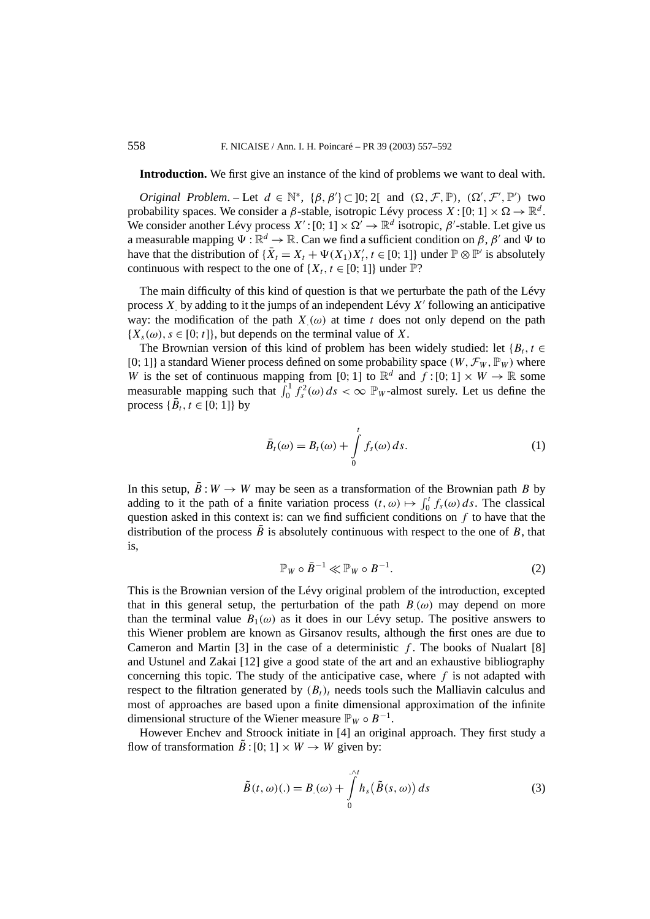**Introduction.** We first give an instance of the kind of problems we want to deal with.

*Original Problem.* – Let  $d \in \mathbb{N}^*$ ,  $\{\beta, \beta'\} \subset ]0; 2[$  and  $(\Omega, \mathcal{F}, \mathbb{P})$ ,  $(\Omega', \mathcal{F}', \mathbb{P}')$  two probability spaces. We consider a *β*-stable, isotropic Lévy process  $X:[0; 1] \times \Omega \to \mathbb{R}^d$ . We consider another Lévy process  $X'$ : [0; 1]  $\times \Omega' \to \mathbb{R}^d$  isotropic,  $\beta'$ -stable. Let give us a measurable mapping  $\Psi : \mathbb{R}^d \to \mathbb{R}$ . Can we find a sufficient condition on *β*, *β'* and  $\Psi$  to have that the distribution of  ${\overline{X}_t = X_t + \Psi(X_1)X'_t, t \in [0; 1]}$  under  $\mathbb{P} \otimes \mathbb{P}'$  is absolutely continuous with respect to the one of  $\{X_t, t \in [0, 1]\}$  under  $\mathbb{P}$ ?

The main difficulty of this kind of question is that we perturbate the path of the Lévy process *X.* by adding to it the jumps of an independent Lévy *X* following an anticipative way: the modification of the path  $X(\omega)$  at time *t* does not only depend on the path  ${X<sub>s</sub>(\omega), s \in [0; t]}$ , but depends on the terminal value of *X*.

The Brownian version of this kind of problem has been widely studied: let  ${B_t, t \in \mathbb{R}^d}$ [0; 1]} a standard Wiener process defined on some probability space  $(W, \mathcal{F}_W, \mathbb{P}_W)$  where *W* is the set of continuous mapping from [0; 1] to  $\mathbb{R}^d$  and  $\hat{f}$  : [0; 1]  $\times$  *W*  $\rightarrow$  R some measurable mapping such that  $\int_0^1 f_s^2(\omega) ds < \infty$   $\mathbb{P}_w$ -almost surely. Let us define the process  $\{\bar{B}_t, t \in [0; 1]\}$  by

$$
\bar{B}_t(\omega) = B_t(\omega) + \int_0^t f_s(\omega) \, ds. \tag{1}
$$

In this setup,  $\bar{B}: W \to W$  may be seen as a transformation of the Brownian path *B* by adding to it the path of a finite variation process  $(t, \omega) \mapsto \int_0^t f_s(\omega) ds$ . The classical question asked in this context is: can we find sufficient conditions on *f* to have that the distribution of the process  $\vec{B}$  is absolutely continuous with respect to the one of  $B$ , that is,

$$
\mathbb{P}_W \circ \bar{B}^{-1} \ll \mathbb{P}_W \circ B^{-1}.
$$
 (2)

This is the Brownian version of the Lévy original problem of the introduction, excepted that in this general setup, the perturbation of the path  $B(\omega)$  may depend on more than the terminal value  $B_1(\omega)$  as it does in our Lévy setup. The positive answers to this Wiener problem are known as Girsanov results, although the first ones are due to Cameron and Martin  $[3]$  in the case of a deterministic  $f$ . The books of Nualart  $[8]$ and Ustunel and Zakai [12] give a good state of the art and an exhaustive bibliography concerning this topic. The study of the anticipative case, where  $f$  is not adapted with respect to the filtration generated by  $(B_t)_t$  needs tools such the Malliavin calculus and most of approaches are based upon a finite dimensional approximation of the infinite dimensional structure of the Wiener measure  $\mathbb{P}_W \circ B^{-1}$ .

However Enchev and Stroock initiate in [4] an original approach. They first study a flow of transformation  $\hat{B}$  : [0; 1]  $\times$  *W*  $\rightarrow$  *W* given by:

$$
\tilde{B}(t,\omega)(.) = B(\omega) + \int_{0}^{\mathcal{M}} h_s(\tilde{B}(s,\omega)) ds
$$
\n(3)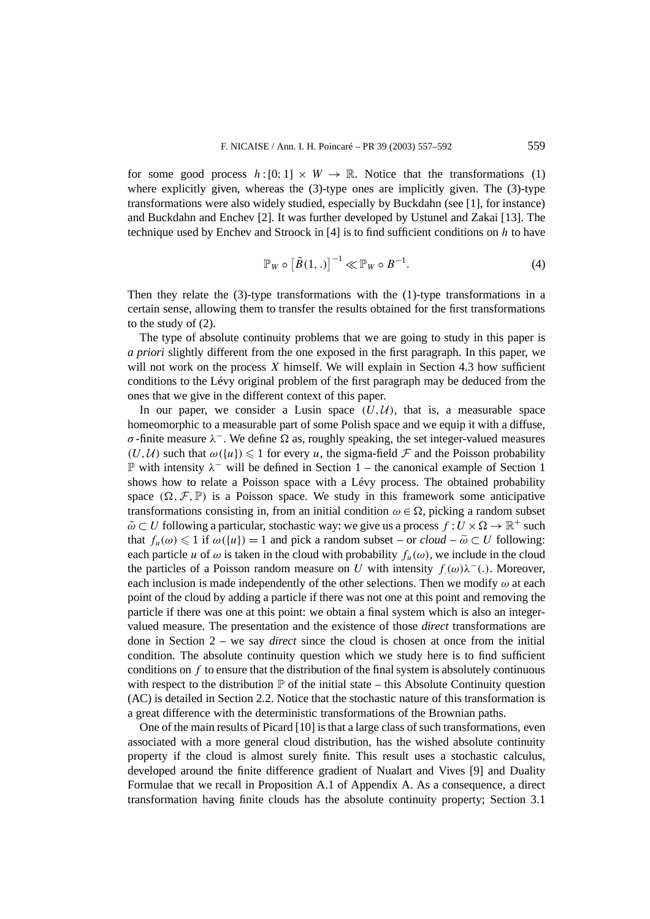for some good process  $h: [0; 1] \times W \to \mathbb{R}$ . Notice that the transformations (1) where explicitly given, whereas the (3)-type ones are implicitly given. The (3)-type transformations were also widely studied, especially by Buckdahn (see [1], for instance) and Buckdahn and Enchev [2]. It was further developed by Ustunel and Zakai [13]. The technique used by Enchev and Stroock in [4] is to find sufficient conditions on *h* to have

$$
\mathbb{P}_W \circ \left[\tilde{B}(1,.)\right]^{-1} \ll \mathbb{P}_W \circ B^{-1}.
$$
 (4)

Then they relate the (3)-type transformations with the (1)-type transformations in a certain sense, allowing them to transfer the results obtained for the first transformations to the study of (2).

The type of absolute continuity problems that we are going to study in this paper is *a priori* slightly different from the one exposed in the first paragraph. In this paper, we will not work on the process *X* himself. We will explain in Section 4.3 how sufficient conditions to the Lévy original problem of the first paragraph may be deduced from the ones that we give in the different context of this paper.

In our paper, we consider a Lusin space  $(U, U)$ , that is, a measurable space homeomorphic to a measurable part of some Polish space and we equip it with a diffuse, *σ* -finite measure  $\lambda^-$ . We define  $\Omega$  as, roughly speaking, the set integer-valued measures  $(U, U)$  such that  $\omega({u}) \leq 1$  for every *u*, the sigma-field F and the Poisson probability P with intensity *λ*<sup>−</sup> will be defined in Section 1 – the canonical example of Section 1 shows how to relate a Poisson space with a Lévy process. The obtained probability space  $(\Omega, \mathcal{F}, \mathbb{P})$  is a Poisson space. We study in this framework some anticipative transformations consisting in, from an initial condition  $\omega \in \Omega$ , picking a random subset  $\tilde{\omega} \subset U$  following a particular, stochastic way: we give us a process  $f: U \times \Omega \to \mathbb{R}^+$  such that  $f_u(\omega) \leq 1$  if  $\omega({u}) = 1$  and pick a random subset – or *cloud* –  $\tilde{\omega} \subset U$  following: each particle *u* of  $\omega$  is taken in the cloud with probability  $f_u(\omega)$ , we include in the cloud the particles of a Poisson random measure on *U* with intensity  $f(\omega)\lambda^{-1}$ . Moreover, each inclusion is made independently of the other selections. Then we modify *ω* at each point of the cloud by adding a particle if there was not one at this point and removing the particle if there was one at this point: we obtain a final system which is also an integervalued measure. The presentation and the existence of those *direct* transformations are done in Section 2 – we say *direct* since the cloud is chosen at once from the initial condition. The absolute continuity question which we study here is to find sufficient conditions on *f* to ensure that the distribution of the final system is absolutely continuous with respect to the distribution  $\mathbb P$  of the initial state – this Absolute Continuity question (AC) is detailed in Section 2.2. Notice that the stochastic nature of this transformation is a great difference with the deterministic transformations of the Brownian paths.

One of the main results of Picard [10] is that a large class of such transformations, even associated with a more general cloud distribution, has the wished absolute continuity property if the cloud is almost surely finite. This result uses a stochastic calculus, developed around the finite difference gradient of Nualart and Vives [9] and Duality Formulae that we recall in Proposition A.1 of Appendix A. As a consequence, a direct transformation having finite clouds has the absolute continuity property; Section 3.1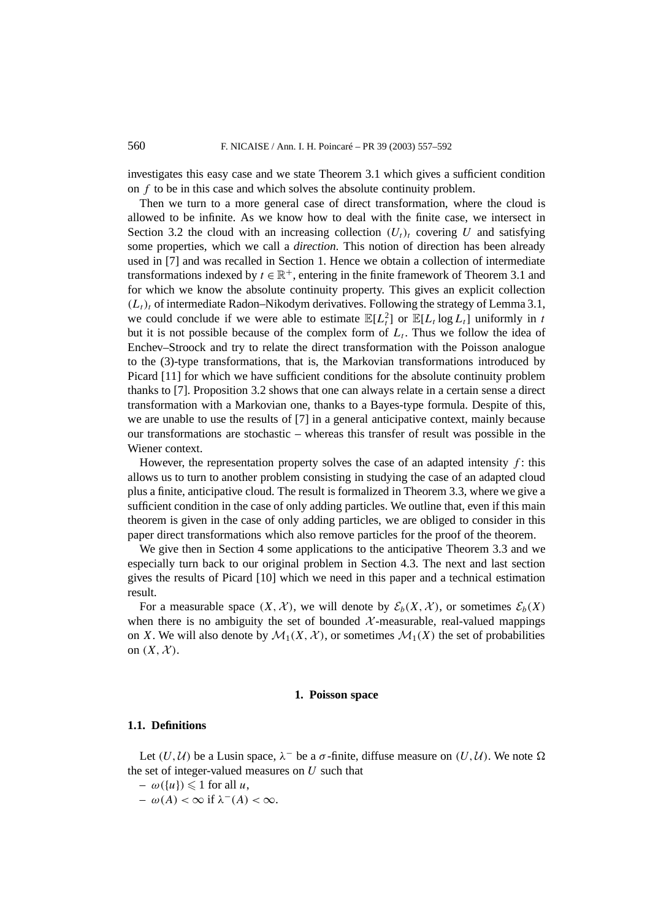investigates this easy case and we state Theorem 3.1 which gives a sufficient condition on *f* to be in this case and which solves the absolute continuity problem.

Then we turn to a more general case of direct transformation, where the cloud is allowed to be infinite. As we know how to deal with the finite case, we intersect in Section 3.2 the cloud with an increasing collection  $(U_t)_t$  covering *U* and satisfying some properties, which we call a *direction*. This notion of direction has been already used in [7] and was recalled in Section 1. Hence we obtain a collection of intermediate transformations indexed by  $t \in \mathbb{R}^+$ , entering in the finite framework of Theorem 3.1 and for which we know the absolute continuity property. This gives an explicit collection  $(L_t)$ <sub>t</sub> of intermediate Radon–Nikodym derivatives. Following the strategy of Lemma 3.1, we could conclude if we were able to estimate  $\mathbb{E}[L_t^2]$  or  $\mathbb{E}[L_t \log L_t]$  uniformly in *t* but it is not possible because of the complex form of  $L_t$ . Thus we follow the idea of Enchev–Stroock and try to relate the direct transformation with the Poisson analogue to the (3)-type transformations, that is, the Markovian transformations introduced by Picard [11] for which we have sufficient conditions for the absolute continuity problem thanks to [7]. Proposition 3.2 shows that one can always relate in a certain sense a direct transformation with a Markovian one, thanks to a Bayes-type formula. Despite of this, we are unable to use the results of [7] in a general anticipative context, mainly because our transformations are stochastic – whereas this transfer of result was possible in the Wiener context.

However, the representation property solves the case of an adapted intensity  $f$ : this allows us to turn to another problem consisting in studying the case of an adapted cloud plus a finite, anticipative cloud. The result is formalized in Theorem 3.3, where we give a sufficient condition in the case of only adding particles. We outline that, even if this main theorem is given in the case of only adding particles, we are obliged to consider in this paper direct transformations which also remove particles for the proof of the theorem.

We give then in Section 4 some applications to the anticipative Theorem 3.3 and we especially turn back to our original problem in Section 4.3. The next and last section gives the results of Picard [10] which we need in this paper and a technical estimation result.

For a measurable space  $(X, \mathcal{X})$ , we will denote by  $\mathcal{E}_b(X, \mathcal{X})$ , or sometimes  $\mathcal{E}_b(X)$ when there is no ambiguity the set of bounded  $\mathcal{X}$ -measurable, real-valued mappings on *X*. We will also denote by  $\mathcal{M}_1(X, \mathcal{X})$ , or sometimes  $\mathcal{M}_1(X)$  the set of probabilities on  $(X, \mathcal{X})$ .

#### **1. Poisson space**

# **1.1. Definitions**

Let  $(U, U)$  be a Lusin space,  $\lambda^-$  be a  $\sigma$ -finite, diffuse measure on  $(U, U)$ . We note  $\Omega$ the set of integer-valued measures on *U* such that

- $-\omega(\{u\}) \leq 1$  for all *u*,
- *ω(A) <* ∞ if *λ*<sup>−</sup>*(A) <* ∞.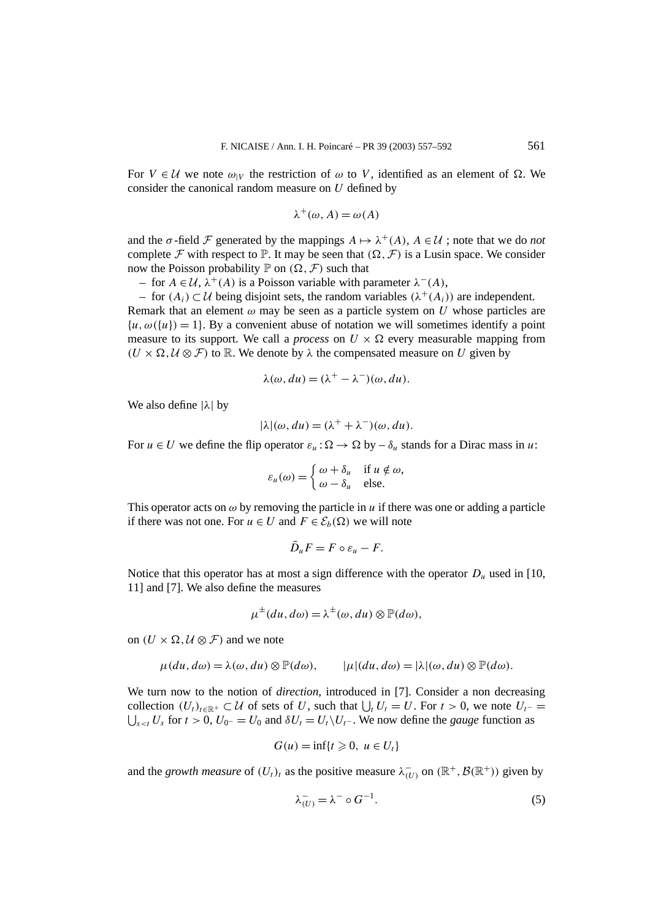For  $V \in \mathcal{U}$  we note  $\omega_{|V}$  the restriction of  $\omega$  to V, identified as an element of  $\Omega$ . We consider the canonical random measure on *U* defined by

$$
\lambda^+(\omega, A) = \omega(A)
$$

and the  $\sigma$ -field F generated by the mappings  $A \mapsto \lambda^+(A)$ ,  $A \in \mathcal{U}$ ; note that we do *not* complete F with respect to  $\mathbb{P}$ . It may be seen that  $(\Omega, \mathcal{F})$  is a Lusin space. We consider now the Poisson probability  $\mathbb P$  on  $(\Omega, \mathcal F)$  such that

– for *<sup>A</sup>* <sup>∈</sup> <sup>U</sup>, *<sup>λ</sup>*<sup>+</sup>*(A)* is a Poisson variable with parameter *<sup>λ</sup>*<sup>−</sup>*(A)*,

 $-$  for *(A<sub>i</sub>)* ⊂ *U* being disjoint sets, the random variables (λ<sup>+</sup>(A<sub>i</sub>)) are independent. Remark that an element  $\omega$  may be seen as a particle system on *U* whose particles are  ${u, \omega(\lbrace u \rbrace) = 1}$ . By a convenient abuse of notation we will sometimes identify a point measure to its support. We call a *process* on  $U \times \Omega$  every measurable mapping from  $(U \times \Omega, U \otimes F)$  to R. We denote by  $\lambda$  the compensated measure on *U* given by

$$
\lambda(\omega, du) = (\lambda^+ - \lambda^-)(\omega, du).
$$

We also define |*λ*| by

$$
|\lambda|(\omega, du) = (\lambda^+ + \lambda^-)(\omega, du).
$$

For  $u \in U$  we define the flip operator  $\varepsilon_u : \Omega \to \Omega$  by  $-\delta_u$  stands for a Dirac mass in *u*:

$$
\varepsilon_u(\omega) = \begin{cases} \omega + \delta_u & \text{if } u \notin \omega, \\ \omega - \delta_u & \text{else.} \end{cases}
$$

This operator acts on  $\omega$  by removing the particle in  $u$  if there was one or adding a particle if there was not one. For  $u \in U$  and  $F \in \mathcal{E}_b(\Omega)$  we will note

$$
\bar{D}_u F = F \circ \varepsilon_u - F.
$$

Notice that this operator has at most a sign difference with the operator  $D_u$  used in [10, 11] and [7]. We also define the measures

$$
\mu^{\pm}(du, d\omega) = \lambda^{\pm}(\omega, du) \otimes \mathbb{P}(d\omega),
$$

on  $(U \times \Omega, U \otimes \mathcal{F})$  and we note

$$
\mu(du, d\omega) = \lambda(\omega, du) \otimes \mathbb{P}(d\omega), \qquad |\mu|(du, d\omega) = |\lambda|(\omega, du) \otimes \mathbb{P}(d\omega).
$$

We turn now to the notion of *direction*, introduced in [7]. Consider a non decreasing collection  $(U_t)_{t \in \mathbb{R}^+}$  ⊂ U of sets of U, such that  $\bigcup_t U_t = U$ . For  $t > 0$ , we note  $U_{t^-} = \bigcup_{t \geq t} U_s$  for  $t > 0$ ,  $U_{0^-} = U_0$  and  $\delta U_t = U_t \setminus U_{t^-}$ . We now define the *gauge* function as  $\bigcup_{s \leq t} U_s$  for *t* > 0,  $U_0$ − =  $U_0$  and  $\delta U_t = U_t \setminus U_t$ −. We now define the *gauge* function as

$$
G(u) = \inf\{t \geq 0, u \in U_t\}
$$

and the *growth measure* of  $(U_t)_t$  as the positive measure  $\lambda_{(U)}^-$  on  $(\mathbb{R}^+, \mathcal{B}(\mathbb{R}^+))$  given by

$$
\lambda_{(U)}^- = \lambda^- \circ G^{-1}.\tag{5}
$$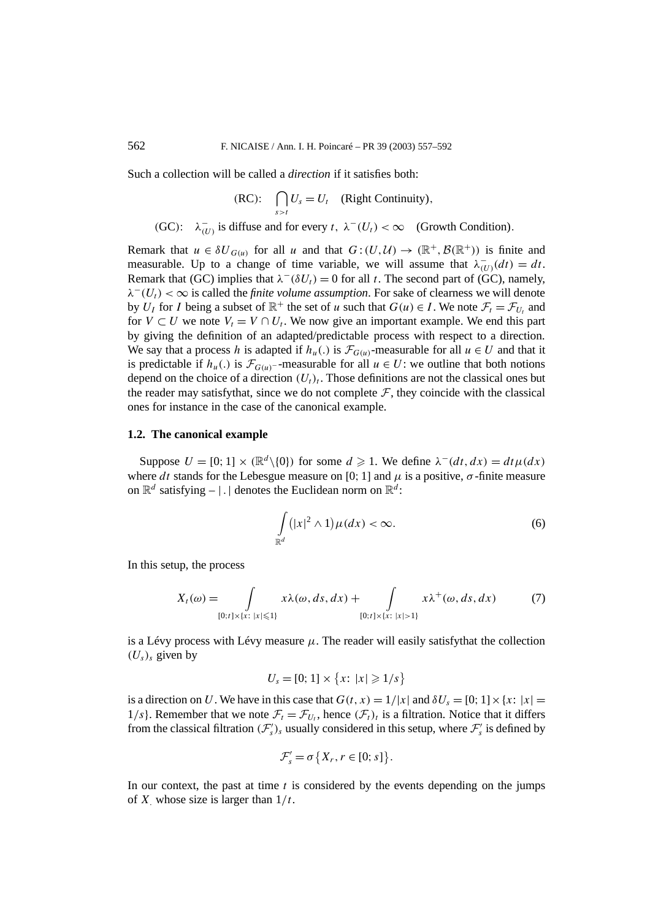Such a collection will be called a *direction* if it satisfies both:

(RC): 
$$
\bigcap_{s>t} U_s = U_t \quad \text{(Right Continuity)},
$$

(GC):  $\lambda_{(U)}^-$  is diffuse and for every *t*,  $\lambda^-(U_t) < \infty$  (Growth Condition).

Remark that  $u \in \delta U_{G(u)}$  for all *u* and that  $G:(U,\mathcal{U}) \to (\mathbb{R}^+, \mathcal{B}(\mathbb{R}^+))$  is finite and measurable. Up to a change of time variable, we will assume that  $\lambda_{(U)}^-(dt) = dt$ . Remark that (GC) implies that  $\lambda^{-}(\delta U_t) = 0$  for all *t*. The second part of (GC), namely,  $\lambda^{-1}(U_t) < \infty$  is called the *finite volume assumption*. For sake of clearness we will denote by *U<sub>I</sub>* for *I* being a subset of  $\mathbb{R}^+$  the set of *u* such that  $G(u) \in I$ . We note  $\mathcal{F}_t = \mathcal{F}_{U_t}$  and for  $V \subset U$  we note  $V_t = V \cap U_t$ . We now give an important example. We end this part by giving the definition of an adapted/predictable process with respect to a direction. We say that a process *h* is adapted if  $h_u(.)$  is  $\mathcal{F}_{G(u)}$ -measurable for all  $u \in U$  and that it is predictable if  $h_u(.)$  is  $\mathcal{F}_{G(u)}$ −-measurable for all  $u \in U$ : we outline that both notions depend on the choice of a direction  $(U_t)_t$ . Those definitions are not the classical ones but the reader may satisfythat, since we do not complete  $\mathcal F$ , they coincide with the classical ones for instance in the case of the canonical example.

## **1.2. The canonical example**

Suppose  $U = [0; 1] \times (\mathbb{R}^d \setminus \{0\})$  for some  $d \ge 1$ . We define  $\lambda^-(dt, dx) = dt \mu(dx)$ where *dt* stands for the Lebesgue measure on [0; 1] and  $\mu$  is a positive,  $\sigma$ -finite measure on  $\mathbb{R}^d$  satisfying – | | denotes the Euclidean norm on  $\mathbb{R}^d$ :

$$
\int_{\mathbb{R}^d} (|x|^2 \wedge 1) \mu(dx) < \infty. \tag{6}
$$

In this setup, the process

$$
X_t(\omega) = \int\limits_{[0;t] \times \{x: \ |x| \leq 1\}} x\lambda(\omega, ds, dx) + \int\limits_{[0;t] \times \{x: \ |x| > 1\}} x\lambda^+(\omega, ds, dx) \tag{7}
$$

is a Lévy process with Lévy measure  $\mu$ . The reader will easily satisfythat the collection  $(U_s)$ <sub>s</sub> given by

$$
U_s = [0; 1] \times \{x: |x| \geq 1/s\}
$$

is a direction on *U*. We have in this case that  $G(t, x) = 1/|x|$  and  $\delta U_s = [0; 1] \times \{x : |x| =$ 1/s}. Remember that we note  $\mathcal{F}_t = \mathcal{F}_{U_t}$ , hence  $(\mathcal{F}_t)_t$  is a filtration. Notice that it differs from the classical filtration  $(\mathcal{F}'_s)$ , usually considered in this setup, where  $\mathcal{F}'_s$  is defined by

$$
\mathcal{F}'_s = \sigma\big\{X_r, r \in [0; s]\big\}.
$$

In our context, the past at time *t* is considered by the events depending on the jumps of *X.* whose size is larger than 1*/t*.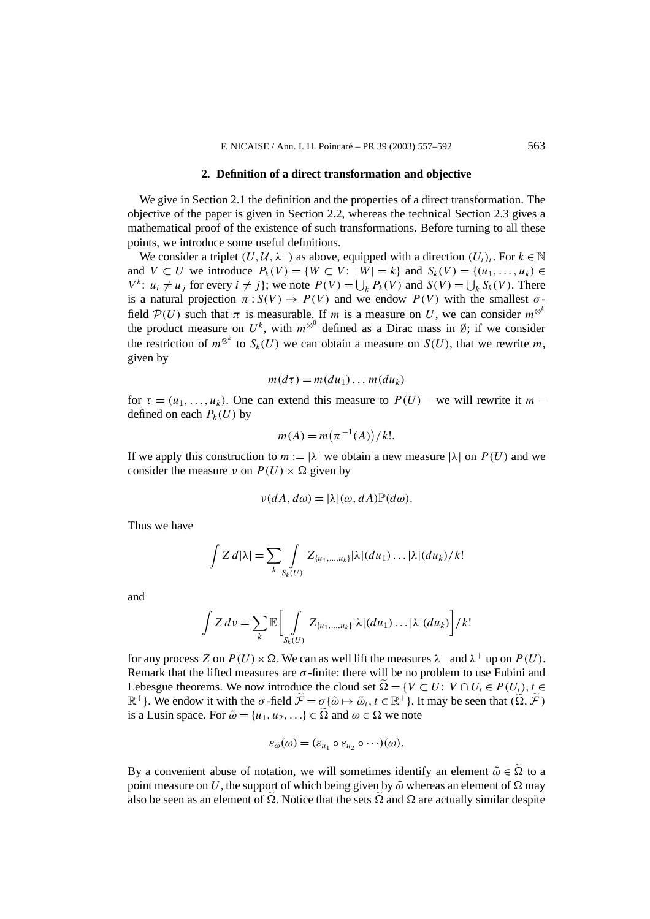#### **2. Definition of a direct transformation and objective**

We give in Section 2.1 the definition and the properties of a direct transformation. The objective of the paper is given in Section 2.2, whereas the technical Section 2.3 gives a mathematical proof of the existence of such transformations. Before turning to all these points, we introduce some useful definitions.

We consider a triplet  $(U, U, \lambda^-)$  as above, equipped with a direction  $(U_t)_t$ . For  $k \in \mathbb{N}$ and *V*  $\subset U$  we introduce  $P_k(V) = \{W \subset V : |W| = k\}$  and  $S_k(V) = \{(u_1, \ldots, u_k) \in$  $V^k$ :  $u_i \neq u_j$  for every  $i \neq j$ ; we note  $P(V) = \bigcup_k P_k(V)$  and  $S(V) = \bigcup_k S_k(V)$ . There is a natural projection  $\pi: S(V) \to P(V)$  and we endow  $P(V)$  with the smallest  $\sigma$ field  $P(U)$  such that  $\pi$  is measurable. If  $m$  is a measure on  $U$ , we can consider  $m^{\otimes k}$ the product measure on  $U^k$ , with  $m^{\otimes 0}$  defined as a Dirac mass in Ø; if we consider the restriction of  $m^{\otimes^k}$  to  $S_k(U)$  we can obtain a measure on  $S(U)$ , that we rewrite m, given by

$$
m(d\tau) = m(du_1) \dots m(du_k)
$$

for  $\tau = (u_1, \ldots, u_k)$ . One can extend this measure to  $P(U)$  – we will rewrite it *m* – defined on each  $P_k(U)$  by

$$
m(A) = m(\pi^{-1}(A))/k!
$$
.

If we apply this construction to  $m := |\lambda|$  we obtain a new measure  $|\lambda|$  on  $P(U)$  and we consider the measure *ν* on  $P(U) \times \Omega$  given by

$$
\nu(dA, d\omega) = |\lambda|(\omega, dA) \mathbb{P}(d\omega).
$$

Thus we have

$$
\int Z d|\lambda| = \sum_{k} \int_{S_k(U)} Z_{\{u_1,\ldots,u_k\}} |\lambda| (du_1) \ldots |\lambda| (du_k) / k!
$$

and

$$
\int Z\,dv = \sum_{k} \mathbb{E}\bigg[\int_{S_k(U)} Z_{\{u_1,\ldots,u_k\}}|\lambda|(du_1)\ldots|\lambda|(du_k)\bigg]/k!
$$

for any process *Z* on  $P(U) \times \Omega$ . We can as well lift the measures  $\lambda^-$  and  $\lambda^+$  up on  $P(U)$ . Remark that the lifted measures are *σ* -finite: there will be no problem to use Fubini and Lebesgue theorems. We now introduce the cloud set  $\tilde{\Omega} = \{V \subset U: V \cap U_t \in P(U_t), t \in$  $\mathbb{R}^+$ }. We endow it with the *σ*-field  $\widetilde{\mathcal{F}} = \sigma \{ \widetilde{\omega} \mapsto \widetilde{\omega}_t, t \in \mathbb{R}^+ \}$ . It may be seen that  $(\widetilde{\Omega}, \widetilde{\mathcal{F}})$ is a Lusin space. For  $\tilde{\omega} = \{u_1, u_2, ...\} \in \tilde{\Omega}$  and  $\omega \in \Omega$  we note

$$
\varepsilon_{\tilde{\omega}}(\omega)=(\varepsilon_{u_1}\circ\varepsilon_{u_2}\circ\cdots)(\omega).
$$

By a convenient abuse of notation, we will sometimes identify an element  $\tilde{\omega} \in \Omega$  to a point measure on *U*, the support of which being given by  $\tilde{\omega}$  whereas an element of  $\Omega$  may also be seen as an element of  $\Omega$ . Notice that the sets  $\Omega$  and  $\Omega$  are actually similar despite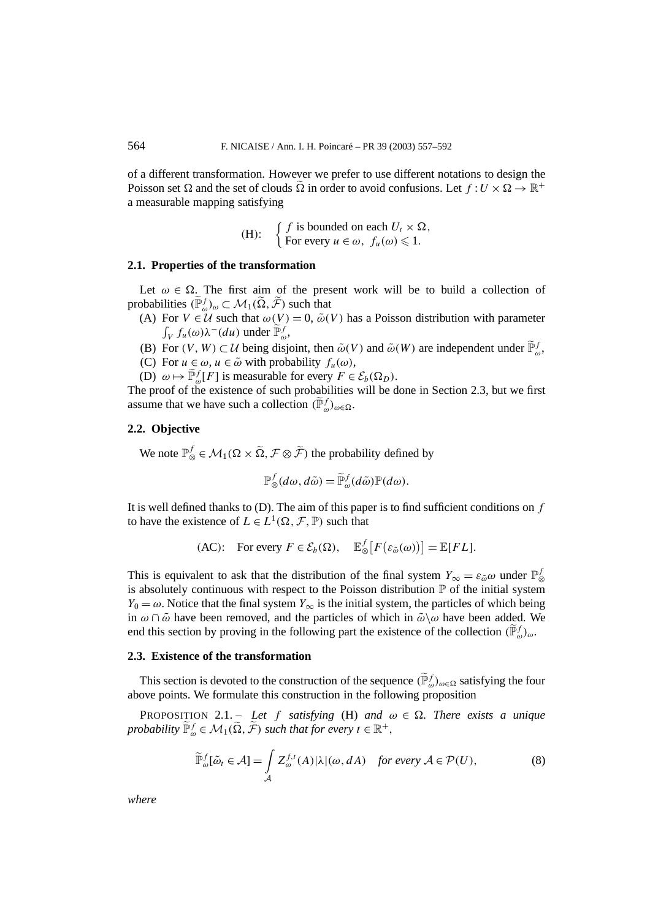of a different transformation. However we prefer to use different notations to design the Poisson set  $\Omega$  and the set of clouds  $\Omega$  in order to avoid confusions. Let  $f: U \times \Omega \to \mathbb{R}^+$ a measurable mapping satisfying

(H): 
$$
\begin{cases} f \text{ is bounded on each } U_t \times \Omega, \\ \text{For every } u \in \omega, f_u(\omega) \leq 1. \end{cases}
$$

## **2.1. Properties of the transformation**

Let  $\omega \in \Omega$ . The first aim of the present work will be to build a collection of probabilities  $(\widetilde{\mathbb{P}}_{{\omega}}^f)_{{\omega}} \subset \mathcal{M}_1(\widetilde{\Omega}, \widetilde{\mathcal{F}})$  such that

- (A) For  $V \in \mathcal{U}$  such that  $\omega(V) = 0$ ,  $\tilde{\omega}(V)$  has a Poisson distribution with parameter *∫<sub>V</sub> f*<sub>*u*</sub>(*ω*)λ<sup>−</sup>(*du*) under  $\widetilde{\mathbb{P}}_{\omega}^f$ ,
- (B) For  $(V, W) \subset \mathcal{U}$  being disjoint, then  $\tilde{\omega}(V)$  and  $\tilde{\omega}(W)$  are independent under  $\tilde{\mathbb{P}}_{\omega}^f$ ,
- (C) For  $u \in \omega$ ,  $u \in \tilde{\omega}$  with probability  $f_u(\omega)$ ,
- (D)  $\omega \mapsto \widetilde{\mathbb{P}}_{\omega}^f[F]$  is measurable for every  $F \in \mathcal{E}_b(\Omega_D)$ .

The proof of the existence of such probabilities will be done in Section 2.3, but we first assume that we have such a collection  $(\widetilde{\mathbb{P}}_{{\omega}}^f)_{\omega \in \Omega}$ .

## **2.2. Objective**

We note  $\mathbb{P}^f_{\otimes} \in \mathcal{M}_1(\Omega \times \tilde{\Omega}, \mathcal{F} \otimes \tilde{\mathcal{F}})$  the probability defined by

$$
\mathbb{P}^f_{\otimes}(d\omega, d\tilde{\omega}) = \widetilde{\mathbb{P}}^f_{\omega}(d\tilde{\omega}) \mathbb{P}(d\omega).
$$

It is well defined thanks to (D). The aim of this paper is to find sufficient conditions on *f* to have the existence of  $L \in L^1(\Omega, \mathcal{F}, \mathbb{P})$  such that

$$
(\text{AC}): \quad \text{For every } F \in \mathcal{E}_b(\Omega), \quad \mathbb{E}_{\otimes}^f \big[ F\big(\varepsilon_{\tilde{\omega}}(\omega)\big) \big] = \mathbb{E}[FL].
$$

This is equivalent to ask that the distribution of the final system  $Y_{\infty} = \varepsilon_{\tilde{\omega}} \omega$  under  $\mathbb{P}^f_{\otimes}$ is absolutely continuous with respect to the Poisson distribution  $P$  of the initial system *Y*<sub>0</sub> =  $\omega$ . Notice that the final system *Y*<sub>∞</sub> is the initial system, the particles of which being in  $\omega \cap \tilde{\omega}$  have been removed, and the particles of which in  $\tilde{\omega} \setminus \omega$  have been added. We end this section by proving in the following part the existence of the collection  $(\tilde{\mathbb{P}}_{{\omega}}^f)_{{\omega}}$ .

## **2.3. Existence of the transformation**

This section is devoted to the construction of the sequence  $(\tilde{\mathbb{P}}_{{\omega}}^f)_{\omega \in \Omega}$  satisfying the four above points. We formulate this construction in the following proposition

PROPOSITION 2.1. – Let *f* satisfying (H) and  $\omega \in \Omega$ . There exists a unique *probability*  $\widetilde{\mathbb{P}}_{\omega}^f \in \mathcal{M}_1(\widetilde{\Omega}, \widetilde{\mathcal{F}})$  *such that for every*  $t \in \mathbb{R}^+,$ 

$$
\widetilde{\mathbb{P}}_{\omega}^{f}[\widetilde{\omega}_{t} \in \mathcal{A}] = \int_{\mathcal{A}} Z_{\omega}^{f,t}(A) |\lambda|(\omega, dA) \quad \text{for every } \mathcal{A} \in \mathcal{P}(U), \tag{8}
$$

*where*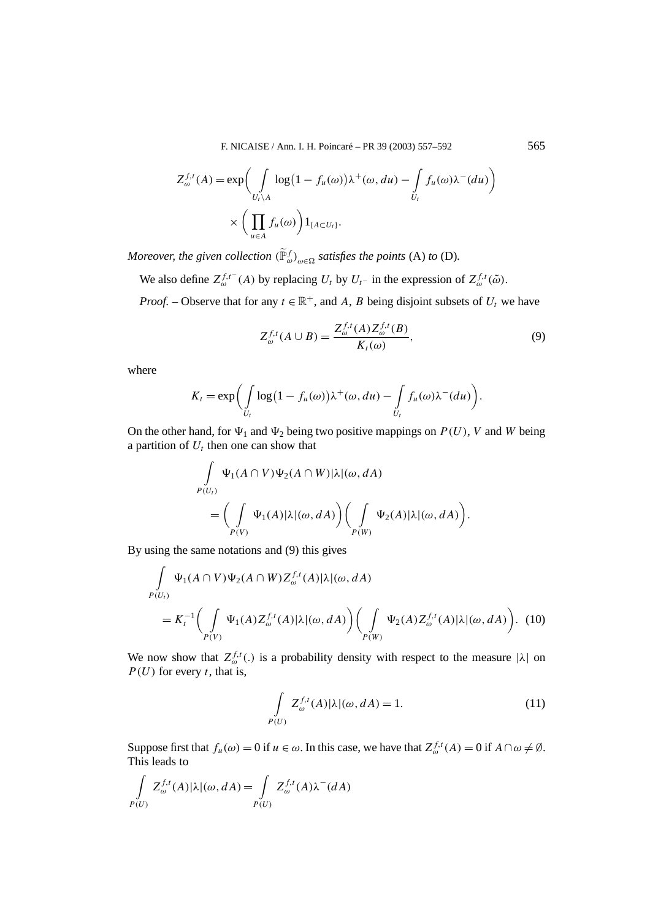F. NICAISE / Ann. I. H. Poincaré – PR 39 (2003) 557–592 565

$$
Z_{\omega}^{f,t}(A) = \exp\biggl(\int_{U_t \backslash A} \log(1 - f_u(\omega))\lambda^+(\omega, du) - \int_{U_t} f_u(\omega)\lambda^-(du)\biggr) \times \biggl(\prod_{u \in A} f_u(\omega)\biggr) 1_{\{A \subset U_t\}}.
$$

*Moreover, the given collection*  $(\tilde{\mathbb{P}}_{\omega}^f)_{\omega \in \Omega}$  *satisfies the points* (A) *to* (D).

We also define  $Z_{\omega}^{f,t-}(A)$  by replacing  $U_t$  by  $U_{t-}$  in the expression of  $Z_{\omega}^{f,t}(\tilde{\omega})$ .

*Proof.* – Observe that for any  $t \in \mathbb{R}^+$ , and *A*, *B* being disjoint subsets of  $U_t$  we have

$$
Z_{\omega}^{f,t}(A \cup B) = \frac{Z_{\omega}^{f,t}(A)Z_{\omega}^{f,t}(B)}{K_t(\omega)},
$$
\n
$$
(9)
$$

*.*

where

$$
K_t = \exp\biggl(\int\limits_{U_t} \log\bigl(1 - f_u(\omega)\bigr)\lambda^+(\omega, du) - \int\limits_{U_t} f_u(\omega)\lambda^-(du)\biggr)
$$

On the other hand, for  $\Psi_1$  and  $\Psi_2$  being two positive mappings on  $P(U)$ , *V* and *W* being a partition of  $U_t$  then one can show that

$$
\int_{P(U_t)} \Psi_1(A \cap V) \Psi_2(A \cap W) |\lambda|(\omega, dA)
$$
\n
$$
= \left( \int_{P(V)} \Psi_1(A) |\lambda|(\omega, dA) \right) \left( \int_{P(W)} \Psi_2(A) |\lambda|(\omega, dA) \right).
$$

By using the same notations and (9) this gives

$$
\int_{P(U_t)} \Psi_1(A \cap V) \Psi_2(A \cap W) Z_{\omega}^{f,t}(A) |\lambda|(\omega, dA)
$$
\n
$$
= K_t^{-1} \Biggl( \int_{P(V)} \Psi_1(A) Z_{\omega}^{f,t}(A) |\lambda|(\omega, dA) \Biggr) \Biggl( \int_{P(W)} \Psi_2(A) Z_{\omega}^{f,t}(A) |\lambda|(\omega, dA) \Biggr). \tag{10}
$$

We now show that  $Z_{\omega}^{f,t}(.)$  is a probability density with respect to the measure  $|\lambda|$  on  $P(U)$  for every *t*, that is,

$$
\int_{P(U)} Z_{\omega}^{f,t}(A) |\lambda|(\omega, dA) = 1.
$$
\n(11)

Suppose first that  $f_u(\omega) = 0$  if  $u \in \omega$ . In this case, we have that  $Z_{\omega}^{f,t}(A) = 0$  if  $A \cap \omega \neq \emptyset$ . This leads to

$$
\int_{P(U)} Z_{\omega}^{f,t}(A) |\lambda|(\omega, dA) = \int_{P(U)} Z_{\omega}^{f,t}(A) \lambda^{-}(dA)
$$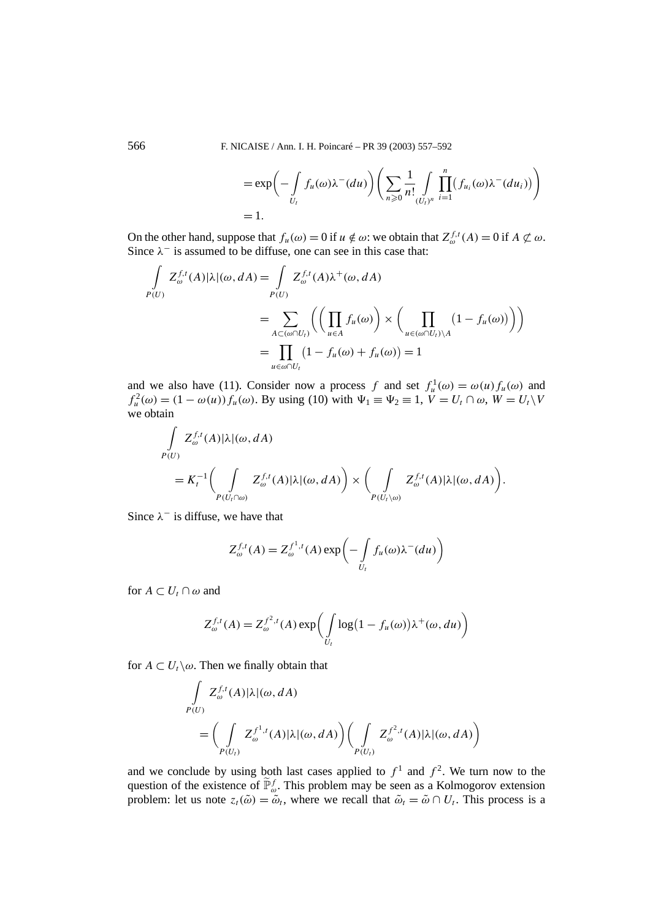$$
= \exp\left(-\int\limits_{U_t} f_u(\omega)\lambda^-(du)\right)\left(\sum_{n\geqslant 0} \frac{1}{n!} \int\limits_{(U_t)^n} \prod_{i=1}^n \left(f_{u_i}(\omega)\lambda^-(du_i)\right)\right)
$$
  
= 1.

On the other hand, suppose that  $f_u(\omega) = 0$  if  $u \notin \omega$ : we obtain that  $Z_{\omega}^{f,t}(A) = 0$  if  $A \not\subset \omega$ . Since  $\lambda^-$  is assumed to be diffuse, one can see in this case that:

$$
\int_{P(U)} Z_{\omega}^{f,t}(A) |\lambda|(\omega, dA) = \int_{P(U)} Z_{\omega}^{f,t}(A) \lambda^{+}(\omega, dA)
$$
\n
$$
= \sum_{A \subset (\omega \cap U_{t})} \left( \left( \prod_{u \in A} f_{u}(\omega) \right) \times \left( \prod_{u \in (\omega \cap U_{t}) \setminus A} (1 - f_{u}(\omega)) \right) \right)
$$
\n
$$
= \prod_{u \in \omega \cap U_{t}} (1 - f_{u}(\omega) + f_{u}(\omega)) = 1
$$

and we also have (11). Consider now a process *f* and set  $f_u^1(\omega) = \omega(u) f_u(\omega)$  and  $f_u^2(\omega) = (1 - \omega(u)) f_u(\omega)$ . By using (10) with  $\Psi_1 \equiv \Psi_2 \equiv 1, V = U_t \cap \omega, W = U_t \setminus V$ we obtain

$$
\int_{P(U)} Z_{\omega}^{f,t}(A) |\lambda|(\omega, dA)
$$
\n
$$
= K_t^{-1} \Biggl(\int_{P(U_t \cap \omega)} Z_{\omega}^{f,t}(A) |\lambda|(\omega, dA) \Biggr) \times \Biggl(\int_{P(U_t \setminus \omega)} Z_{\omega}^{f,t}(A) |\lambda|(\omega, dA) \Biggr).
$$

Since  $\lambda^-$  is diffuse, we have that

$$
Z_{\omega}^{f,t}(A) = Z_{\omega}^{f^{1},t}(A) \exp \left(-\int_{U_t} f_u(\omega) \lambda^-(du)\right)
$$

for  $A \subset U_t \cap \omega$  and

$$
Z_{\omega}^{f,t}(A) = Z_{\omega}^{f^2,t}(A) \exp\left(\int_{U_t} \log(1 - f_u(\omega)) \lambda^+(\omega, du)\right)
$$

for  $A \subset U_t \backslash \omega$ . Then we finally obtain that

$$
\int_{P(U)} Z_{\omega}^{f,t}(A) |\lambda|(\omega, dA)
$$
\n
$$
= \left( \int_{P(U_t)} Z_{\omega}^{f^1,t}(A) |\lambda|(\omega, dA) \right) \left( \int_{P(U_t)} Z_{\omega}^{f^2,t}(A) |\lambda|(\omega, dA) \right)
$$

and we conclude by using both last cases applied to  $f^1$  and  $f^2$ . We turn now to the question of the existence of  $\widetilde{\mathbb{P}}_{\omega}^f$ . This problem may be seen as a Kolmogorov extension problem: let us note  $z_t(\tilde{\omega}) = \tilde{\omega}_t$ , where we recall that  $\tilde{\omega}_t = \tilde{\omega} \cap U_t$ . This process is a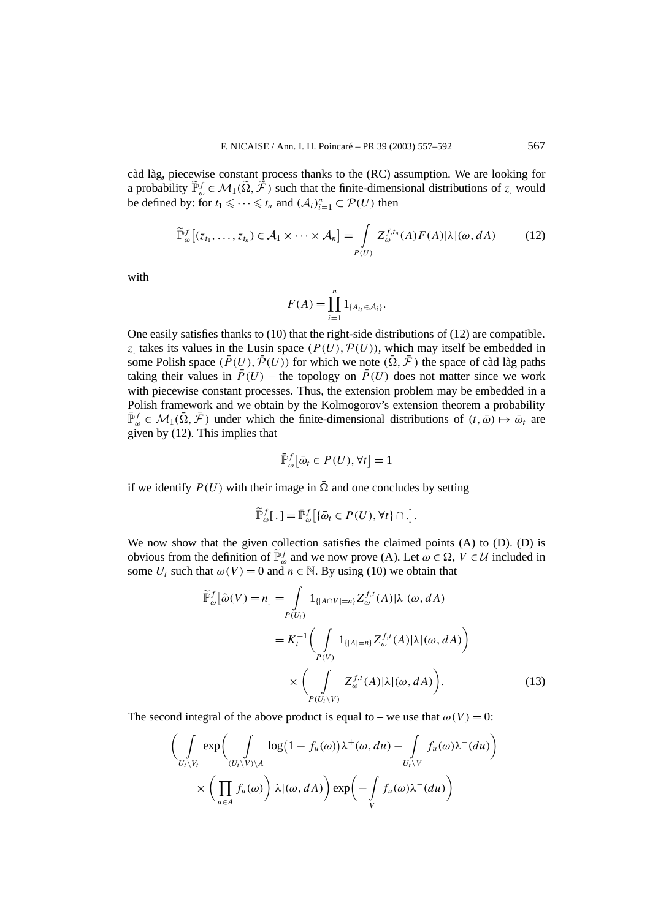càd làg, piecewise constant process thanks to the (RC) assumption. We are looking for a probability  $\tilde{\mathbb{P}}_{\omega}^f \in \mathcal{M}_1(\tilde{\Omega}, \tilde{\mathcal{F}})$  such that the finite-dimensional distributions of *z* would be defined by: for  $t_1 \leq \cdots \leq t_n$  and  $(\mathcal{A}_i)_{i=1}^n \subset \mathcal{P}(U)$  then

$$
\widetilde{\mathbb{P}}_{\omega}^{f}\big[(z_{t_1},\ldots,z_{t_n})\in\mathcal{A}_1\times\cdots\times\mathcal{A}_n\big]=\int\limits_{P(U)}Z_{\omega}^{f,t_n}(A)F(A)|\lambda|(\omega,dA)\qquad\qquad(12)
$$

with

$$
F(A) = \prod_{i=1}^n 1_{\{A_{t_i} \in \mathcal{A}_i\}}.
$$

One easily satisfies thanks to (10) that the right-side distributions of (12) are compatible. *z* takes its values in the Lusin space  $(P(U), P(U))$ , which may itself be embedded in some Polish space  $(\bar{P}(U), \bar{\mathcal{P}}(U))$  for which we note  $(\bar{\Omega}, \bar{\mathcal{F}})$  the space of càd làg paths taking their values in  $\overline{P}(U)$  – the topology on  $\overline{P}(U)$  does not matter since we work with piecewise constant processes. Thus, the extension problem may be embedded in a Polish framework and we obtain by the Kolmogorov's extension theorem a probability  $\bar{\mathbb{P}}_{\omega}^f \in \mathcal{M}_1(\bar{\Omega}, \bar{\mathcal{F}})$  under which the finite-dimensional distributions of  $(t, \bar{\omega}) \mapsto \bar{\omega}_t$  are given by (12). This implies that

$$
\bar{\mathbb{P}}_{\omega}^{f}[\bar{\omega}_t \in P(U), \forall t] = 1
$$

if we identify  $P(U)$  with their image in  $\overline{\Omega}$  and one concludes by setting

$$
\widetilde{\mathbb{P}}_{\omega}^f[\,.\,]=\bar{\mathbb{P}}_{\omega}^f\big[\{\bar{\omega}_t\in P(U),\forall t\}\cap.\big].
$$

We now show that the given collection satisfies the claimed points  $(A)$  to  $(D)$ .  $(D)$  is obvious from the definition of  $\tilde{\mathbb{P}}_{\omega}^f$  and we now prove (A). Let  $\omega \in \Omega$ , *V* ∈ *U* included in some  $U_t$  such that  $\omega(V) = 0$  and  $n \in \mathbb{N}$ . By using (10) we obtain that

$$
\widetilde{\mathbb{P}}_{\omega}^{f}[\widetilde{\omega}(V) = n] = \int_{P(U_{t})} 1_{\{|A \cap V| = n\}} Z_{\omega}^{f,t}(A) |\lambda|(\omega, dA)
$$
\n
$$
= K_{t}^{-1} \Biggl( \int_{P(V)} 1_{\{|A| = n\}} Z_{\omega}^{f,t}(A) |\lambda|(\omega, dA) \Biggr)
$$
\n
$$
\times \Biggl( \int_{P(U_{t} \setminus V)} Z_{\omega}^{f,t}(A) |\lambda|(\omega, dA) \Biggr). \tag{13}
$$

The second integral of the above product is equal to – we use that  $\omega(V) = 0$ :

$$
\left(\int\limits_{U_t \setminus V_t} \exp \left(\int\limits_{(U_t \setminus V) \setminus A} \log(1 - f_u(\omega)) \lambda^+(\omega, du) - \int\limits_{U_t \setminus V} f_u(\omega) \lambda^-(du)\right) \times \left(\prod_{u \in A} f_u(\omega)\right) |\lambda|(\omega, dA)\right) \exp \left(-\int\limits_V f_u(\omega) \lambda^-(du)\right)
$$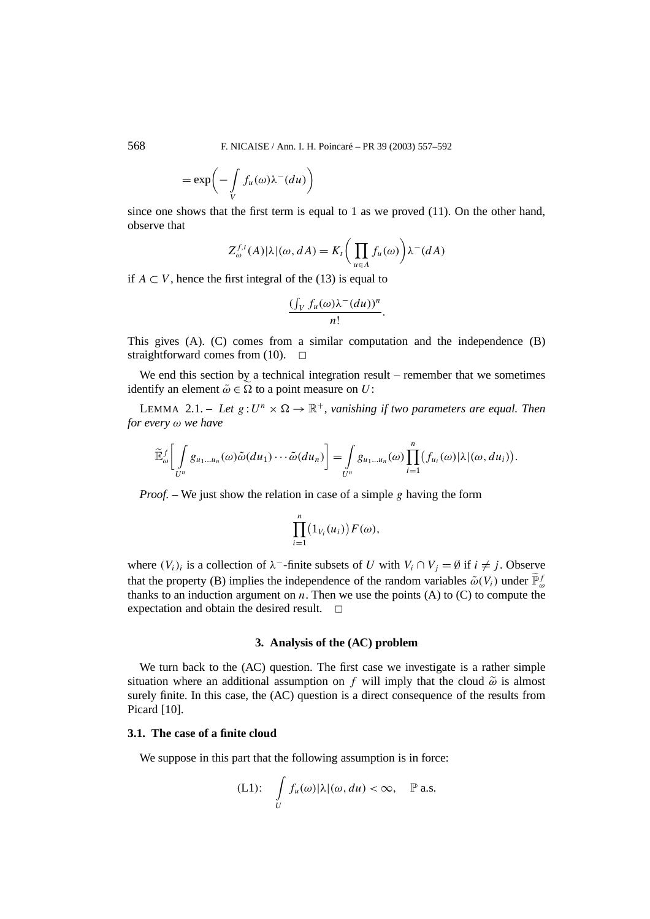$$
= \exp\biggl(-\int\limits_V f_u(\omega)\lambda^-(du)\biggr)
$$

since one shows that the first term is equal to 1 as we proved  $(11)$ . On the other hand, observe that

$$
Z_{\omega}^{f,t}(A)|\lambda|(\omega, dA) = K_t \bigg(\prod_{u \in A} f_u(\omega)\bigg) \lambda^-(dA)
$$

if *A* ⊂ *V*, hence the first integral of the (13) is equal to

$$
\frac{\left(\int_V f_u(\omega)\lambda^-(du)\right)^n}{n!}.
$$

This gives (A). (C) comes from a similar computation and the independence (B) straightforward comes from (10).  $\Box$ 

We end this section by a technical integration result – remember that we sometimes identify an element  $\tilde{\omega} \in \Omega$  to a point measure on *U*:

LEMMA 2.1. – Let  $g: U^n \times \Omega \to \mathbb{R}^+$ , vanishing if two parameters are equal. Then *for every ω we have*

$$
\widetilde{\mathbb{E}}_{\omega}^f\bigg[\int_{U^n}g_{u_1\ldots u_n}(\omega)\widetilde{\omega}(du_1)\cdots\widetilde{\omega}(du_n)\bigg]=\int_{U^n}g_{u_1\ldots u_n}(\omega)\prod_{i=1}^n(f_{u_i}(\omega)|\lambda|(\omega,du_i)).
$$

*Proof. –* We just show the relation in case of a simple *g* having the form

$$
\prod_{i=1}^n (1_{V_i}(u_i)) F(\omega),
$$

where  $(V_i)_i$  is a collection of  $\lambda^-$ -finite subsets of *U* with  $V_i \cap V_j = \emptyset$  if  $i \neq j$ . Observe that the property (B) implies the independence of the random variables  $\tilde{\omega}(V_i)$  under  $\tilde{\mathbb{P}}_{\omega}^f$ thanks to an induction argument on  $n$ . Then we use the points (A) to (C) to compute the expectation and obtain the desired result.  $\Box$ 

## **3. Analysis of the (AC) problem**

We turn back to the (AC) question. The first case we investigate is a rather simple situation where an additional assumption on *f* will imply that the cloud  $\tilde{\omega}$  is almost surely finite. In this case, the (AC) question is a direct consequence of the results from Picard [10].

# **3.1. The case of a finite cloud**

We suppose in this part that the following assumption is in force:

(L1): 
$$
\int\limits_U f_u(\omega)|\lambda|(\omega, du) < \infty, \quad \mathbb{P} \text{ a.s.}
$$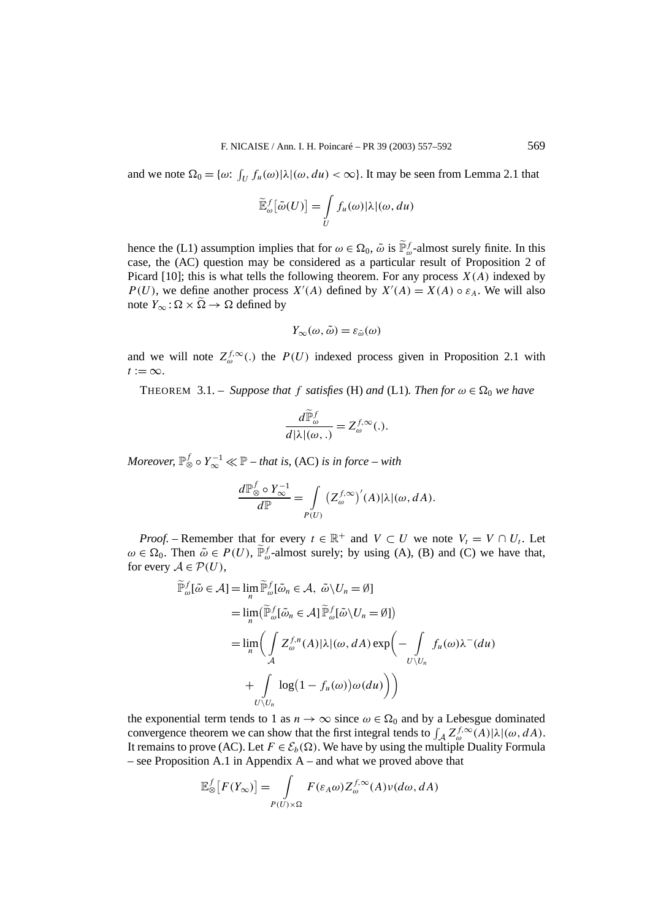and we note  $\Omega_0 = \{\omega: \int_U f_u(\omega) | \lambda | (\omega, du) < \infty \}$ . It may be seen from Lemma 2.1 that

$$
\widetilde{\mathbb{E}}_{\omega}^{f}[\widetilde{\omega}(U)]=\int\limits_{U}f_{u}(\omega)|\lambda|(\omega,du)
$$

hence the (L1) assumption implies that for  $\omega \in \Omega_0$ ,  $\tilde{\omega}$  is  $\tilde{\mathbb{P}}_{\omega}^f$ -almost surely finite. In this case, the (AC) question may be considered as a particular result of Proposition 2 of Picard  $[10]$ ; this is what tells the following theorem. For any process  $X(A)$  indexed by *P(U)*, we define another process  $X'(A)$  defined by  $X'(A) = X(A) \circ \varepsilon_A$ . We will also note  $Y_{\infty}$ :  $\Omega \times \widetilde{\Omega} \to \Omega$  defined by

$$
Y_{\infty}(\omega,\tilde{\omega})=\varepsilon_{\tilde{\omega}}(\omega)
$$

and we will note  $Z_{\omega}^{f,\infty}$ . the  $P(U)$  indexed process given in Proposition 2.1 with  $t := \infty$ .

THEOREM 3.1. – *Suppose that f satisfies* (H) *and* (L1)*. Then for*  $\omega \in \Omega_0$  *we have* 

$$
\frac{d\widetilde{\mathbb{P}}_{\omega}^{f}}{d|\lambda|(\omega,.)} = Z_{\omega}^{f,\infty}(.)
$$

*Moreover,*  $\mathbb{P}^{f}_{\otimes} \circ Y^{-1}_{\infty} \ll \mathbb{P}$  – that is, (AC) is in force – with

$$
\frac{d\mathbb{P}_{\otimes}^f \circ Y_{\infty}^{-1}}{d\mathbb{P}} = \int\limits_{P(U)} (Z_{\omega}^{f,\infty})'(A) |\lambda|(\omega, dA).
$$

*Proof.* – Remember that for every  $t \in \mathbb{R}^+$  and  $V \subset U$  we note  $V_t = V \cap U_t$ . Let  $\omega \in \Omega_0$ . Then  $\tilde{\omega} \in P(U)$ ,  $\tilde{\mathbb{P}}_{\omega}^f$ -almost surely; by using (A), (B) and (C) we have that, for every  $A \in \mathcal{P}(U)$ ,

$$
\widetilde{\mathbb{P}}_{\omega}^{f}[\widetilde{\omega} \in \mathcal{A}] = \lim_{n} \widetilde{\mathbb{P}}_{\omega}^{f}[\widetilde{\omega}_{n} \in \mathcal{A}, \ \widetilde{\omega} \setminus U_{n} = \emptyset]
$$
\n
$$
= \lim_{n} (\widetilde{\mathbb{P}}_{\omega}^{f}[\widetilde{\omega}_{n} \in \mathcal{A}] \widetilde{\mathbb{P}}_{\omega}^{f}[\widetilde{\omega} \setminus U_{n} = \emptyset])
$$
\n
$$
= \lim_{n} \left( \int_{\mathcal{A}} Z_{\omega}^{f,n}(A) |\lambda|(\omega, dA) \exp \left( - \int_{U \setminus U_{n}} f_{u}(\omega) \lambda^{-}(du) \right) \right)
$$
\n
$$
+ \int_{U \setminus U_{n}} \log \left( 1 - f_{u}(\omega) \right) \omega(du) \right)
$$

the exponential term tends to 1 as  $n \to \infty$  since  $\omega \in \Omega_0$  and by a Lebesgue dominated convergence theorem we can show that the first integral tends to  $\int_A Z_\omega^{f, \infty}(A) |\lambda|(\omega, dA)$ . It remains to prove (AC). Let  $F \in \mathcal{E}_b(\Omega)$ . We have by using the multiple Duality Formula – see Proposition A.1 in Appendix  $A$  – and what we proved above that

$$
\mathbb{E}_{\otimes}^f[F(Y_{\infty})] = \int_{P(U)\times\Omega} F(\varepsilon_A\omega) Z_{\omega}^{f,\infty}(A)\nu(d\omega, dA)
$$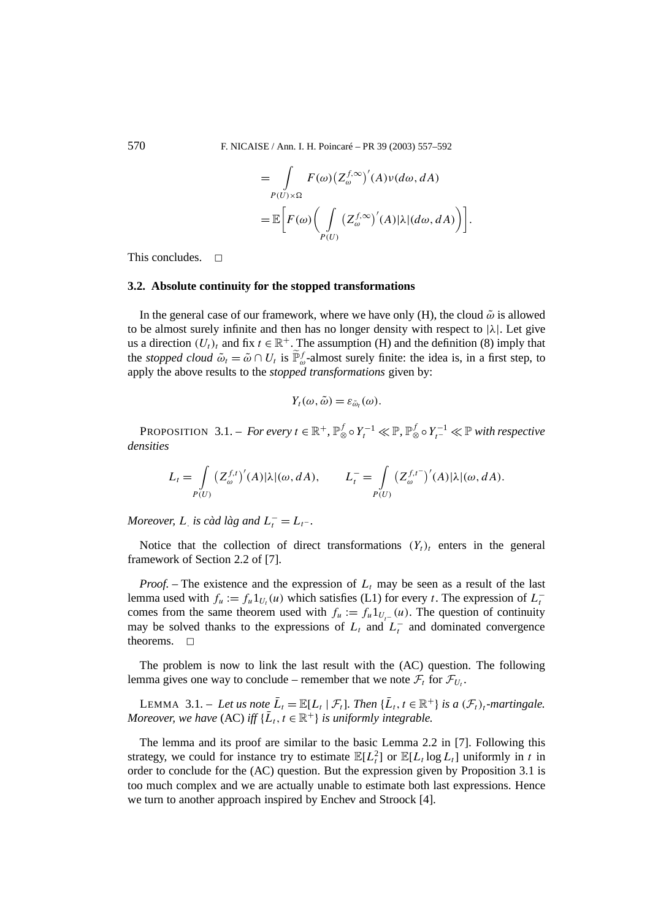$$
= \int_{P(U)\times\Omega} F(\omega) (Z_{\omega}^{f,\infty})'(A)\nu(d\omega, dA)
$$
  

$$
= \mathbb{E}\bigg[F(\omega) \bigg(\int_{P(U)} (Z_{\omega}^{f,\infty})'(A)|\lambda|(d\omega, dA)\bigg)\bigg].
$$

This concludes.  $\Box$ 

## **3.2. Absolute continuity for the stopped transformations**

In the general case of our framework, where we have only (H), the cloud  $\tilde{\omega}$  is allowed to be almost surely infinite and then has no longer density with respect to |*λ*|. Let give us a direction  $(U_t)_t$  and fix  $t \in \mathbb{R}^+$ . The assumption (H) and the definition (8) imply that the *stopped cloud*  $\tilde{\omega}_t = \tilde{\omega} \cap U_t$  is  $\tilde{\mathbb{P}}_{\omega}^f$ -almost surely finite: the idea is, in a first step, to apply the above results to the *stopped transformations* given by:

$$
Y_t(\omega,\tilde{\omega})=\varepsilon_{\tilde{\omega}_t}(\omega).
$$

PROPOSITION 3.1. – *For every*  $t \in \mathbb{R}^+$ ,  $\mathbb{P}^f_{\otimes} \circ Y_t^{-1} \ll \mathbb{P}$ ,  $\mathbb{P}^f_{\otimes} \circ Y_t^{-1} \ll \mathbb{P}$  with respective *densities*

$$
L_t = \int\limits_{P(U)} (Z_{\omega}^{f,t})'(A) |\lambda|(\omega, dA), \qquad L_t^- = \int\limits_{P(U)} (Z_{\omega}^{f,t^-})'(A) |\lambda|(\omega, dA).
$$

*Moreover, L<sub>.</sub> is càd làg and*  $L_t^- = L_t$ -.

Notice that the collection of direct transformations  $(Y_t)_t$  enters in the general framework of Section 2.2 of [7].

*Proof.* – The existence and the expression of  $L_t$  may be seen as a result of the last lemma used with  $f_u := f_u 1_{U_t}(u)$  which satisfies (L1) for every *t*. The expression of  $L_t^$ comes from the same theorem used with  $f_u := f_u 1_{U_{-u}}(u)$ . The question of continuity may be solved thanks to the expressions of  $L_t$  and  $L_t^-$  and dominated convergence theorems.  $\square$ 

The problem is now to link the last result with the (AC) question. The following lemma gives one way to conclude – remember that we note  $\mathcal{F}_t$  for  $\mathcal{F}_{U_t}$ .

LEMMA 3.1. – Let us note  $\bar{L}_t = \mathbb{E}[L_t | \mathcal{F}_t]$ . Then  $\{\bar{L}_t, t \in \mathbb{R}^+\}$  is a  $(\mathcal{F}_t)_t$ -martingale. *Moreover, we have* (AC) *iff*  $\{L_t, t \in \mathbb{R}^+\}$  *is uniformly integrable.* 

The lemma and its proof are similar to the basic Lemma 2.2 in [7]. Following this strategy, we could for instance try to estimate  $\mathbb{E}[L_t^2]$  or  $\mathbb{E}[L_t \log L_t]$  uniformly in *t* in order to conclude for the (AC) question. But the expression given by Proposition 3.1 is too much complex and we are actually unable to estimate both last expressions. Hence we turn to another approach inspired by Enchev and Stroock [4].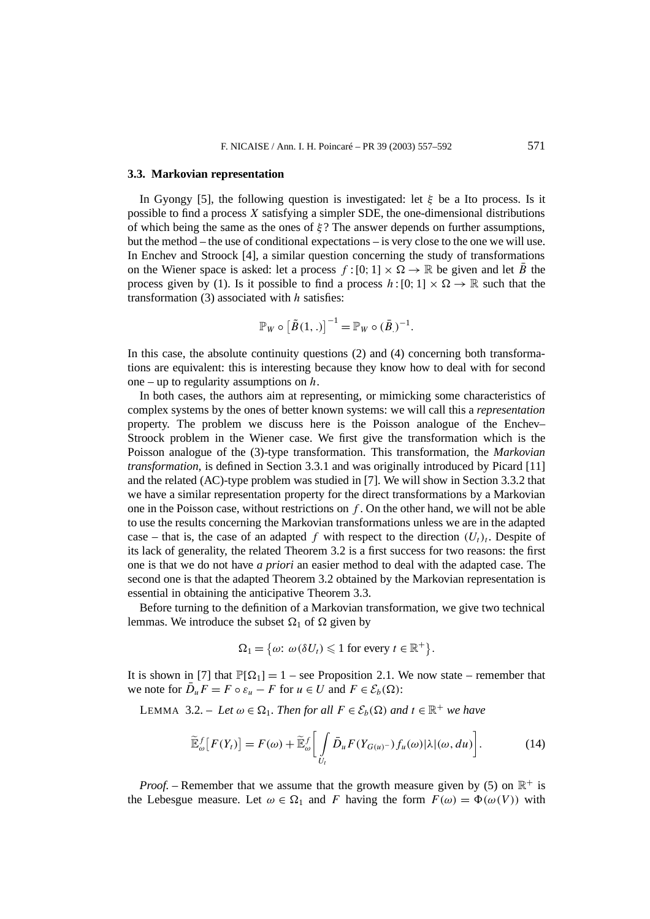### **3.3. Markovian representation**

In Gyongy [5], the following question is investigated: let *ξ* be a Ito process. Is it possible to find a process *X* satisfying a simpler SDE, the one-dimensional distributions of which being the same as the ones of  $\dot{\epsilon}$ ? The answer depends on further assumptions, but the method – the use of conditional expectations – is very close to the one we will use. In Enchev and Stroock [4], a similar question concerning the study of transformations on the Wiener space is asked: let a process  $f : [0; 1] \times \Omega \rightarrow \mathbb{R}$  be given and let  $\overline{B}$  the process given by (1). Is it possible to find a process  $h:[0;1] \times \Omega \to \mathbb{R}$  such that the transformation (3) associated with *h* satisfies:

$$
\mathbb{P}_W \circ \left[\tilde{B}(1,.)\right]^{-1} = \mathbb{P}_W \circ (\bar{B})^{-1}.
$$

In this case, the absolute continuity questions (2) and (4) concerning both transformations are equivalent: this is interesting because they know how to deal with for second one – up to regularity assumptions on *h*.

In both cases, the authors aim at representing, or mimicking some characteristics of complex systems by the ones of better known systems: we will call this a *representation* property. The problem we discuss here is the Poisson analogue of the Enchev– Stroock problem in the Wiener case. We first give the transformation which is the Poisson analogue of the (3)-type transformation. This transformation, the *Markovian transformation*, is defined in Section 3.3.1 and was originally introduced by Picard [11] and the related (AC)-type problem was studied in [7]. We will show in Section 3.3.2 that we have a similar representation property for the direct transformations by a Markovian one in the Poisson case, without restrictions on *f* . On the other hand, we will not be able to use the results concerning the Markovian transformations unless we are in the adapted case – that is, the case of an adapted f with respect to the direction  $(U_t)_t$ . Despite of its lack of generality, the related Theorem 3.2 is a first success for two reasons: the first one is that we do not have *a priori* an easier method to deal with the adapted case. The second one is that the adapted Theorem 3.2 obtained by the Markovian representation is essential in obtaining the anticipative Theorem 3.3.

Before turning to the definition of a Markovian transformation, we give two technical lemmas. We introduce the subset  $\Omega_1$  of  $\Omega$  given by

$$
\Omega_1 = \{ \omega : \omega(\delta U_t) \leq 1 \text{ for every } t \in \mathbb{R}^+ \}.
$$

It is shown in [7] that  $\mathbb{P}[\Omega_1] = 1$  – see Proposition 2.1. We now state – remember that we note for  $\overline{D}_u F = F \circ \varepsilon_u - F$  for  $u \in U$  and  $F \in \mathcal{E}_b(\Omega)$ :

LEMMA 3.2. – Let  $\omega \in \Omega_1$ . Then for all  $F \in \mathcal{E}_b(\Omega)$  and  $t \in \mathbb{R}^+$  we have

$$
\widetilde{\mathbb{E}}_{\omega}^{f}[F(Y_{t})] = F(\omega) + \widetilde{\mathbb{E}}_{\omega}^{f} \bigg[ \int_{U_{t}} \widetilde{D}_{u} F(Y_{G(u)^{-}}) f_{u}(\omega) |\lambda|(\omega, du) \bigg]. \tag{14}
$$

*Proof.* – Remember that we assume that the growth measure given by (5) on  $\mathbb{R}^+$  is the Lebesgue measure. Let  $\omega \in \Omega_1$  and *F* having the form  $F(\omega) = \Phi(\omega(V))$  with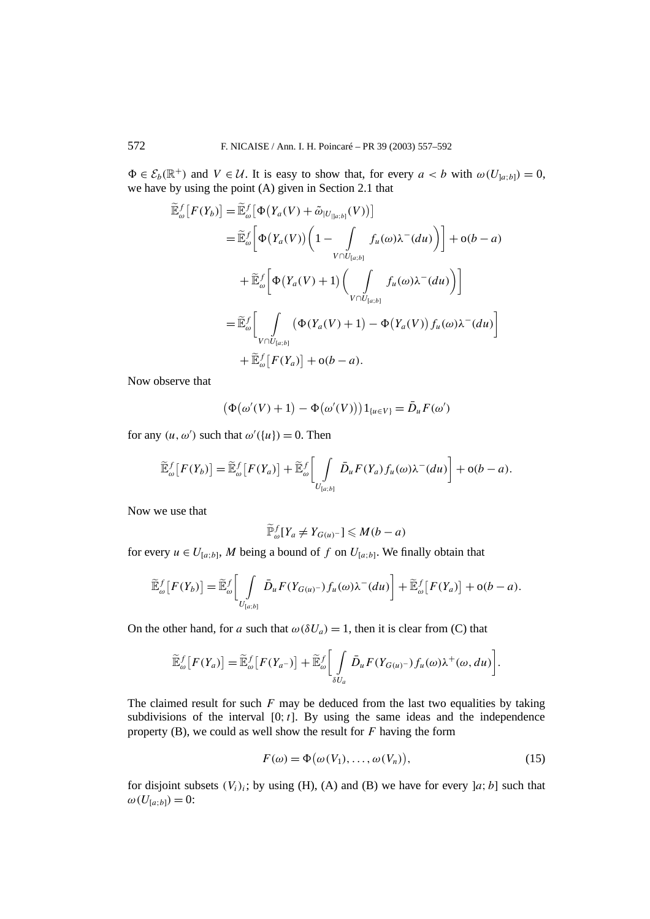$\Phi \in \mathcal{E}_b(\mathbb{R}^+)$  and  $V \in \mathcal{U}$ . It is easy to show that, for every  $a < b$  with  $\omega(U_{a,b}) = 0$ , we have by using the point (A) given in Section 2.1 that

$$
\widetilde{\mathbb{E}}_{\omega}^{f}[F(Y_{b})] = \widetilde{\mathbb{E}}_{\omega}^{f}[\Phi(Y_{a}(V) + \widetilde{\omega}_{|U_{|a:b|}}(V))]
$$
\n
$$
= \widetilde{\mathbb{E}}_{\omega}^{f}[\Phi(Y_{a}(V))\left(1 - \int_{V \cap U_{[a:b]}} f_{u}(\omega)\lambda^{-}(du)\right) + o(b-a)
$$
\n
$$
+ \widetilde{\mathbb{E}}_{\omega}^{f}[\Phi(Y_{a}(V) + 1)\left(\int_{V \cap U_{[a:b]}} f_{u}(\omega)\lambda^{-}(du)\right)]
$$
\n
$$
= \widetilde{\mathbb{E}}_{\omega}^{f}\left[\int_{V \cap U_{[a:b]}} (\Phi(Y_{a}(V) + 1) - \Phi(Y_{a}(V))f_{u}(\omega)\lambda^{-}(du)) + \widetilde{\mathbb{E}}_{\omega}^{f}[F(Y_{a})] + o(b-a).
$$

Now observe that

$$
\big(\Phi\big(\omega'(V)+1\big)-\Phi\big(\omega'(V)\big)\big)\mathbf{1}_{\{u\in V\}}=\bar{D}_u F(\omega')
$$

for any  $(u, \omega')$  such that  $\omega'(\{u\}) = 0$ . Then

$$
\widetilde{\mathbb{E}}_{\omega}^{f}[F(Y_{b})] = \widetilde{\mathbb{E}}_{\omega}^{f}[F(Y_{a})] + \widetilde{\mathbb{E}}_{\omega}^{f} \bigg[ \int\limits_{U_{[a:b]}} \bar{D}_{u} F(Y_{a}) f_{u}(\omega) \lambda^{-}(du) \bigg] + o(b-a).
$$

Now we use that

$$
\widetilde{\mathbb{P}}_{\omega}^f[Y_a \neq Y_{G(u)^-}] \leqslant M(b-a)
$$

for every  $u \in U_{[a;b]}$ , M being a bound of f on  $U_{[a;b]}$ . We finally obtain that

$$
\widetilde{\mathbb{E}}_{\omega}^f[F(Y_b)] = \widetilde{\mathbb{E}}_{\omega}^f\bigg[\int\limits_{U_{[a:b]}} \bar{D}_u F(Y_{G(u)^{-}}) f_u(\omega) \lambda^-(du)\bigg] + \widetilde{\mathbb{E}}_{\omega}^f[F(Y_a)] + o(b-a).
$$

On the other hand, for *a* such that  $\omega(\delta U_a) = 1$ , then it is clear from (C) that

$$
\widetilde{\mathbb{E}}_{\omega}^{f}[F(Y_a)] = \widetilde{\mathbb{E}}_{\omega}^{f}[F(Y_{a-})] + \widetilde{\mathbb{E}}_{\omega}^{f} \bigg[ \int_{\delta U_a} \bar{D}_u F(Y_{G(u)^{-}}) f_u(\omega) \lambda^+(\omega, du) \bigg].
$$

The claimed result for such *F* may be deduced from the last two equalities by taking subdivisions of the interval  $[0; t]$ . By using the same ideas and the independence property (B), we could as well show the result for *F* having the form

$$
F(\omega) = \Phi\big(\omega(V_1), \dots, \omega(V_n)\big),\tag{15}
$$

for disjoint subsets  $(V_i)_i$ ; by using (H), (A) and (B) we have for every  $[a; b]$  such that  $ω(U_{[a:b]}) = 0$ :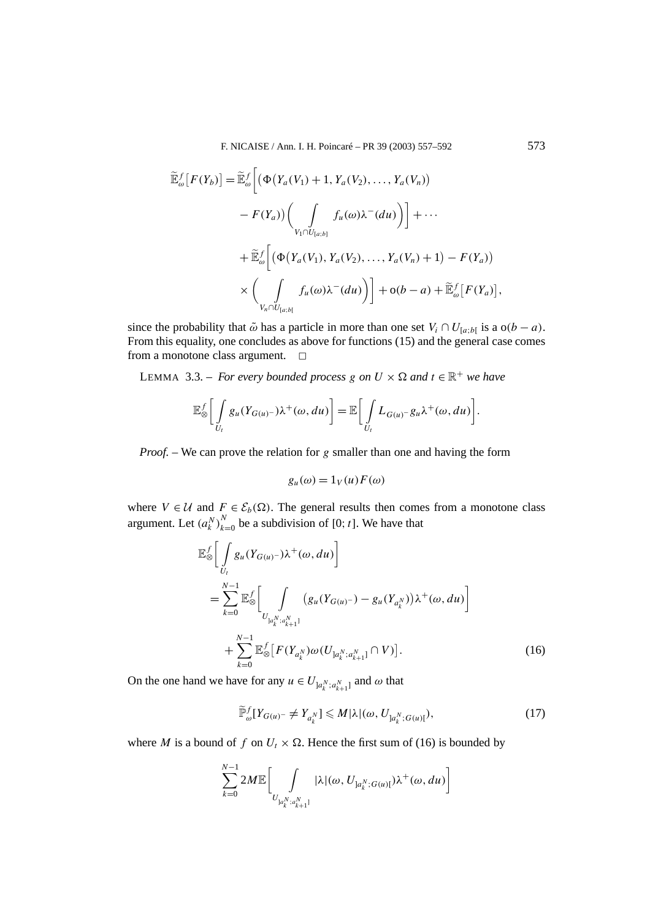F. NICAISE / Ann. I. H. Poincaré – PR 39 (2003) 557–592 573

$$
\widetilde{\mathbb{E}}_{\omega}^{f}[F(Y_{b})] = \widetilde{\mathbb{E}}_{\omega}^{f}\bigg[\big(\Phi(Y_{a}(V_{1}) + 1, Y_{a}(V_{2}), \ldots, Y_{a}(V_{n})) - F(Y_{a})\big)\bigg(\int_{V_{1} \cap U_{[a;b]}} f_{u}(\omega) \lambda^{-}(du)\big)\bigg] + \cdots + \widetilde{\mathbb{E}}_{\omega}^{f}\bigg[\big(\Phi(Y_{a}(V_{1}), Y_{a}(V_{2}), \ldots, Y_{a}(V_{n}) + 1) - F(Y_{a})\big) \times \bigg(\int_{V_{n} \cap U_{[a;b]}} f_{u}(\omega) \lambda^{-}(du)\bigg)\bigg] + o(b-a) + \widetilde{\mathbb{E}}_{\omega}^{f}[F(Y_{a})],
$$

since the probability that  $\tilde{\omega}$  has a particle in more than one set  $V_i \cap U_{[a,b]}$  is a  $o(b-a)$ . From this equality, one concludes as above for functions (15) and the general case comes from a monotone class argument.  $\square$ 

LEMMA 3.3. – *For every bounded process g on*  $U \times \Omega$  *and*  $t \in \mathbb{R}^+$  *we have* 

$$
\mathbb{E}_{\otimes}^f \bigg[ \int_{U_t} g_u(Y_{G(u)^{-}}) \lambda^+(\omega, du) \bigg] = \mathbb{E} \bigg[ \int_{U_t} L_{G(u)^{-}} g_u \lambda^+(\omega, du) \bigg].
$$

*Proof. –* We can prove the relation for *g* smaller than one and having the form

$$
g_u(\omega) = 1_V(u) F(\omega)
$$

where  $V \in \mathcal{U}$  and  $F \in \mathcal{E}_b(\Omega)$ . The general results then comes from a monotone class argument. Let  $(a_k^N)_{k=0}^N$  be a subdivision of [0; *t*]. We have that

$$
\mathbb{E}_{\otimes}^{f} \bigg[ \int_{U_{t}} g_{u}(Y_{G(u)^{-}}) \lambda^{+}(\omega, du) \bigg] \n= \sum_{k=0}^{N-1} \mathbb{E}_{\otimes}^{f} \bigg[ \int_{U_{]a_{k}^{N}:a_{k+1}^{N}}}\big(g_{u}(Y_{G(u)^{-}}) - g_{u}(Y_{a_{k}^{N}})\big) \lambda^{+}(\omega, du)\bigg] \n+ \sum_{k=0}^{N-1} \mathbb{E}_{\otimes}^{f} \big[F(Y_{a_{k}^{N}}) \omega(U_{]a_{k}^{N}:a_{k+1}^{N}} \cap V)\big].
$$
\n(16)

On the one hand we have for any  $u \in U_{a_k^N; a_{k+1}^N}$  and  $\omega$  that

$$
\widetilde{\mathbb{P}}_{\omega}^f[Y_{G(u)^-} \neq Y_{a_k^N}] \leq M |\lambda|(\omega, U_{a_k^N; G(u)[}),
$$
\n(17)

where *M* is a bound of *f* on  $U_t \times \Omega$ . Hence the first sum of (16) is bounded by

$$
\sum_{k=0}^{N-1} 2M \mathbb{E} \bigg[ \int\limits_{U_{]a_k^N; a_{k+1}^N}} |\lambda|(\omega, U_{]a_k^N; G(u)[}) \lambda^+(\omega, du) \bigg]
$$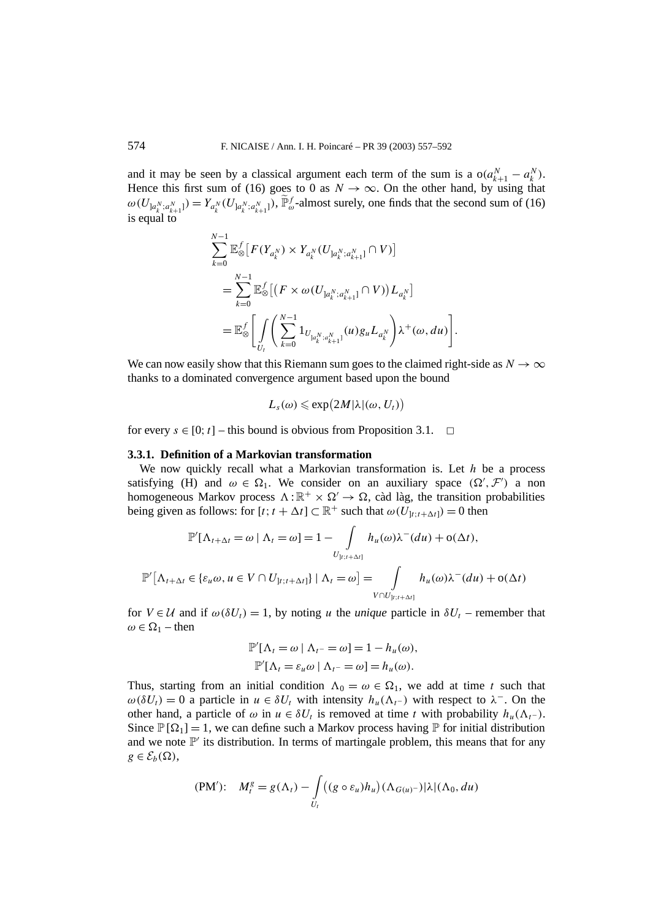and it may be seen by a classical argument each term of the sum is a  $o(a_{k+1}^N - a_k^N)$ . Hence this first sum of (16) goes to 0 as  $N \to \infty$ . On the other hand, by using that  $\omega(U_{]a_k^N; a_{k+1}^N]}) = Y_{a_k^N}(U_{]a_k^N; a_{k+1}^N]}$ ,  $\widetilde{\mathbb{P}}_{\omega}^f$ -almost surely, one finds that the second sum of (16) is equal to

$$
\sum_{k=0}^{N-1} \mathbb{E}_{\otimes}^{f} \left[ F(Y_{a_{k}^{N}}) \times Y_{a_{k}^{N}}(U_{a_{k}^{N}; a_{k+1}^{N}} \cap V) \right]
$$
  
= 
$$
\sum_{k=0}^{N-1} \mathbb{E}_{\otimes}^{f} \left[ \left( F \times \omega(U_{a_{k}^{N}; a_{k+1}^{N}} \cap V) \right) L_{a_{k}^{N}} \right]
$$
  
= 
$$
\mathbb{E}_{\otimes}^{f} \left[ \int_{U_{t}} \left( \sum_{k=0}^{N-1} \mathbb{1}_{U_{a_{k}^{N}; a_{k+1}^{N}}}(u) g_{u} L_{a_{k}^{N}} \right) \lambda^{+}(\omega, du) \right].
$$

We can now easily show that this Riemann sum goes to the claimed right-side as  $N \to \infty$ thanks to a dominated convergence argument based upon the bound

$$
L_s(\omega) \leqslant \exp\bigl(2M|\lambda|(\omega, U_t)\bigr)
$$

for every  $s \in [0; t]$  – this bound is obvious from Proposition 3.1.  $\Box$ 

# **3.3.1. Definition of a Markovian transformation**

We now quickly recall what a Markovian transformation is. Let *h* be a process satisfying (H) and  $\omega \in \Omega_1$ . We consider on an auxiliary space  $(\Omega', \mathcal{F}')$  a non homogeneous Markov process  $\Lambda : \mathbb{R}^+ \times \Omega' \to \Omega$ , càd làg, the transition probabilities being given as follows: for  $[t; t + \Delta t] \subset \mathbb{R}^+$  such that  $\omega(U_{t:t+\Delta t}) = 0$  then

$$
\mathbb{P}'[\Lambda_{t+\Delta t} = \omega \mid \Lambda_t = \omega] = 1 - \int_{U_{]t:t+\Delta t]}} h_u(\omega) \lambda^-(du) + o(\Delta t),
$$
  

$$
\mathbb{P}'[\Lambda_{t+\Delta t} \in \{\varepsilon_u \omega, u \in V \cap U_{]t:t+\Delta t]}\} \mid \Lambda_t = \omega] = \int_{V \cap U_{]t:t+\Delta t]}} h_u(\omega) \lambda^-(du) + o(\Delta t)
$$

for  $V \in U$  and if  $\omega(\delta U_t) = 1$ , by noting *u* the *unique* particle in  $\delta U_t$  – remember that  $\omega \in \Omega_1$  – then

$$
\mathbb{P}'[\Lambda_t = \omega \mid \Lambda_{t^-} = \omega] = 1 - h_u(\omega),
$$
  

$$
\mathbb{P}'[\Lambda_t = \varepsilon_u \omega \mid \Lambda_{t^-} = \omega] = h_u(\omega).
$$

Thus, starting from an initial condition  $\Lambda_0 = \omega \in \Omega_1$ , we add at time *t* such that  $ω(δU_t) = 0$  a particle in *u* ∈ δU<sub>t</sub> with intensity  $h<sub>u</sub>(Λ<sub>t</sub>−)$  with respect to  $λ<sup>-</sup>$ . On the other hand, a particle of  $\omega$  in  $u \in \delta U_t$  is removed at time *t* with probability  $h_u(\Lambda_t)$ . Since  $\mathbb{P}[\Omega_1] = 1$ , we can define such a Markov process having  $\mathbb{P}$  for initial distribution and we note  $\mathbb{P}'$  its distribution. In terms of martingale problem, this means that for any  $g \in \mathcal{E}_b(\Omega)$ ,

$$
(PM')\colon M_t^g = g(\Lambda_t) - \int_{U_t} \left( (g \circ \varepsilon_u) h_u \right) (\Lambda_{G(u)^-}) |\lambda| (\Lambda_0, du)
$$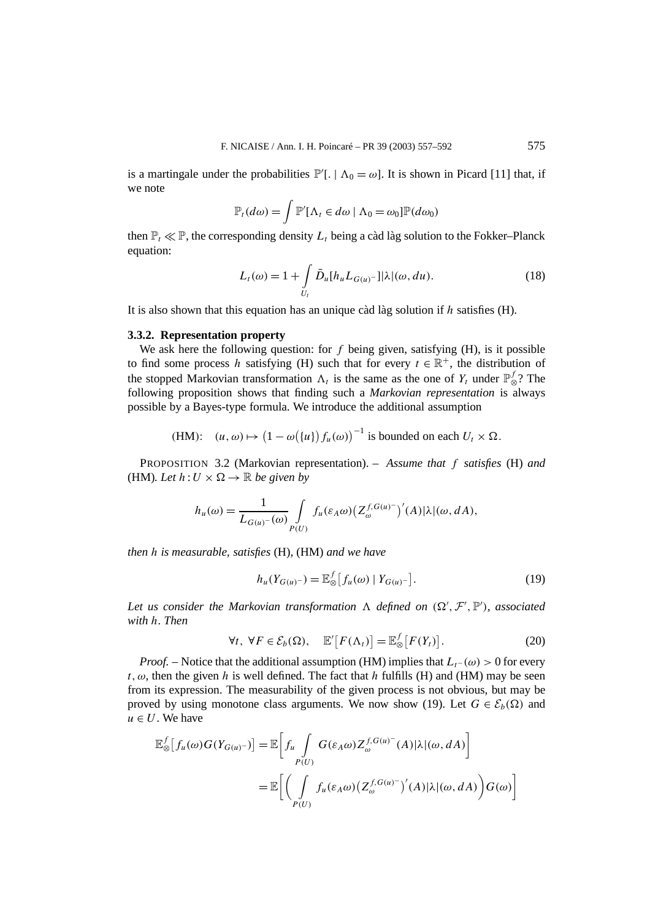is a martingale under the probabilities  $\mathbb{P}'$ [. |  $\Lambda_0 = \omega$ ]. It is shown in Picard [11] that, if we note

$$
\mathbb{P}_t(d\omega) = \int \mathbb{P}'[\Lambda_t \in d\omega \mid \Lambda_0 = \omega_0] \mathbb{P}(d\omega_0)
$$

then  $\mathbb{P}_t \ll \mathbb{P}$ , the corresponding density  $L_t$  being a càd làg solution to the Fokker–Planck equation:

$$
L_t(\omega) = 1 + \int\limits_{U_t} \bar{D}_u[h_u L_{G(u)} - \lambda] \lambda | (\omega, du). \tag{18}
$$

It is also shown that this equation has an unique càd làg solution if *h* satisfies (H).

## **3.3.2. Representation property**

We ask here the following question: for *f* being given, satisfying (H), is it possible to find some process *h* satisfying (H) such that for every  $t \in \mathbb{R}^+$ , the distribution of the stopped Markovian transformation  $\Lambda_t$  is the same as the one of  $Y_t$  under  $\mathbb{P}^f_{\otimes}$ ? The following proposition shows that finding such a *Markovian representation* is always possible by a Bayes-type formula. We introduce the additional assumption

(HM): 
$$
(u, \omega) \mapsto (1 - \omega({u}) f_u(\omega))^{-1}
$$
 is bounded on each  $U_t \times \Omega$ .

PROPOSITION 3.2 (Markovian representation). – *Assume that f satisfies* (H) *and* (HM). Let  $h: U \times \Omega \rightarrow \mathbb{R}$  be given by

$$
h_u(\omega) = \frac{1}{L_{G(u)}(\omega)} \int_{P(U)} f_u(\varepsilon_A \omega) \left(Z_{\omega}^{f, G(u)^{-}}\right)'(A) |\lambda|(\omega, dA),
$$

*then h is measurable, satisfies* (H)*,* (HM) *and we have*

$$
h_u(Y_{G(u)^-}) = \mathbb{E}_{\otimes}^f[f_u(\omega) | Y_{G(u)^-}].
$$
\n(19)

Let us consider the Markovian transformation  $\Lambda$  defined on  $(\Omega', \mathcal{F}', \mathbb{P}')$ , associated *with h. Then*

$$
\forall t, \ \forall F \in \mathcal{E}_b(\Omega), \quad \mathbb{E}'\big[F(\Lambda_t)\big] = \mathbb{E}_{\otimes}^f\big[F(Y_t)\big].\tag{20}
$$

*Proof.* – Notice that the additional assumption (HM) implies that  $L_t$ −(ω) > 0 for every  $t, \omega$ , then the given *h* is well defined. The fact that *h* fulfills (H) and (HM) may be seen from its expression. The measurability of the given process is not obvious, but may be proved by using monotone class arguments. We now show (19). Let  $G \in \mathcal{E}_b(\Omega)$  and  $u \in U$ . We have

$$
\mathbb{E}_{\otimes}^{f}[f_{u}(\omega)G(Y_{G(u)^{-}})] = \mathbb{E}\left[f_{u}\int_{P(U)}G(\varepsilon_{A}\omega)Z_{\omega}^{f,G(u)^{-}}(A)|\lambda|(\omega, dA)\right]
$$

$$
= \mathbb{E}\left[\left(\int_{P(U)}f_{u}(\varepsilon_{A}\omega)\left(Z_{\omega}^{f,G(u)^{-}}\right)'(A)|\lambda|(\omega, dA)\right)G(\omega)\right]
$$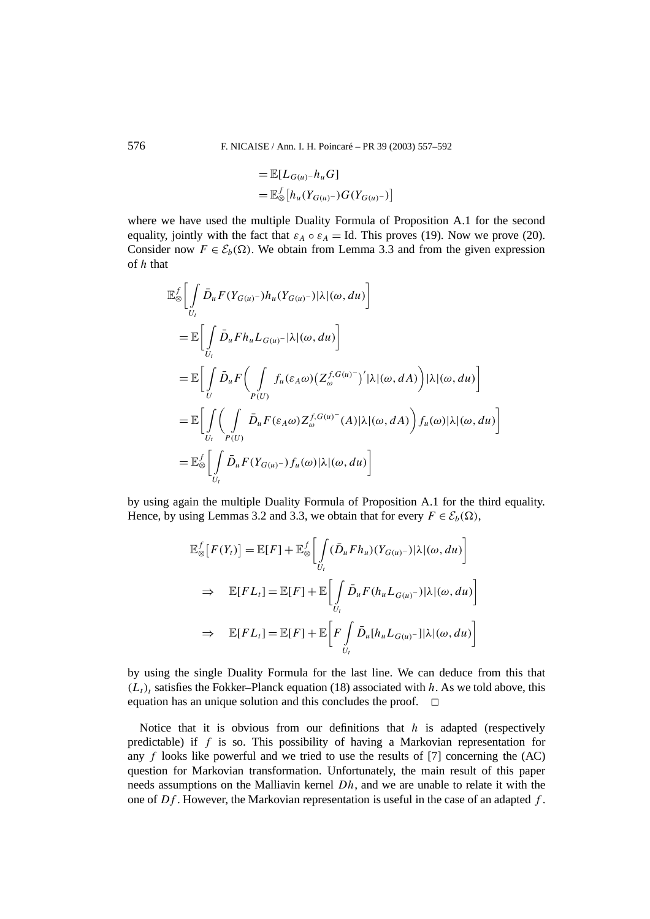$$
= \mathbb{E}[L_{G(u)}-h_uG]
$$
  
=  $\mathbb{E}_{\otimes}^f[h_u(Y_{G(u)}-)G(Y_{G(u)}-)]$ 

where we have used the multiple Duality Formula of Proposition A.1 for the second equality, jointly with the fact that  $\varepsilon_A \circ \varepsilon_A = Id$ . This proves (19). Now we prove (20). Consider now  $F \in \mathcal{E}_b(\Omega)$ . We obtain from Lemma 3.3 and from the given expression of *h* that

$$
\mathbb{E}_{\otimes}^{f} \Bigg[ \int_{U_{t}} \bar{D}_{u} F(Y_{G(u)}-)h_{u}(Y_{G(u)}-)|\lambda|(\omega, du) \Bigg]
$$
\n
$$
= \mathbb{E} \Bigg[ \int_{U_{t}} \bar{D}_{u} F h_{u} L_{G(u)}-|\lambda|(\omega, du) \Bigg]
$$
\n
$$
= \mathbb{E} \Bigg[ \int_{U} \bar{D}_{u} F \Big( \int_{P(U)} f_{u}(\varepsilon_{A}\omega) (Z_{\omega}^{f, G(u)}-)'|\lambda|(\omega, dA) \Big) |\lambda|(\omega, du) \Bigg]
$$
\n
$$
= \mathbb{E} \Bigg[ \int_{U_{t}} \Big( \int_{P(U)} \bar{D}_{u} F(\varepsilon_{A}\omega) Z_{\omega}^{f, G(u)}(A) |\lambda|(\omega, dA) \Big) f_{u}(\omega) |\lambda|(\omega, du) \Bigg]
$$
\n
$$
= \mathbb{E}_{\otimes}^{f} \Bigg[ \int_{U_{t}} \bar{D}_{u} F(Y_{G(u)}-) f_{u}(\omega) |\lambda|(\omega, du) \Bigg]
$$

by using again the multiple Duality Formula of Proposition A.1 for the third equality. Hence, by using Lemmas 3.2 and 3.3, we obtain that for every  $F \in \mathcal{E}_b(\Omega)$ ,

$$
\mathbb{E}_{\otimes}^{f}[F(Y_{t})] = \mathbb{E}[F] + \mathbb{E}_{\otimes}^{f}\left[\int_{U_{t}} (\bar{D}_{u}F h_{u})(Y_{G(u)^{-}})|\lambda|(\omega, du)\right]
$$
  
\n
$$
\Rightarrow \mathbb{E}[FL_{t}] = \mathbb{E}[F] + \mathbb{E}\left[\int_{U_{t}} \bar{D}_{u}F(h_{u}L_{G(u)^{-}})|\lambda|(\omega, du)\right]
$$
  
\n
$$
\Rightarrow \mathbb{E}[FL_{t}] = \mathbb{E}[F] + \mathbb{E}\left[F\int_{U_{t}} \bar{D}_{u}[h_{u}L_{G(u)^{-}}]|\lambda|(\omega, du)\right]
$$

by using the single Duality Formula for the last line. We can deduce from this that  $(L_t)$ <sub>t</sub> satisfies the Fokker–Planck equation (18) associated with *h*. As we told above, this equation has an unique solution and this concludes the proof.  $\Box$ 

Notice that it is obvious from our definitions that *h* is adapted (respectively predictable) if *f* is so. This possibility of having a Markovian representation for any  $f$  looks like powerful and we tried to use the results of [7] concerning the  $(AC)$ question for Markovian transformation. Unfortunately, the main result of this paper needs assumptions on the Malliavin kernel *Dh*, and we are unable to relate it with the one of *Df* . However, the Markovian representation is useful in the case of an adapted *f* .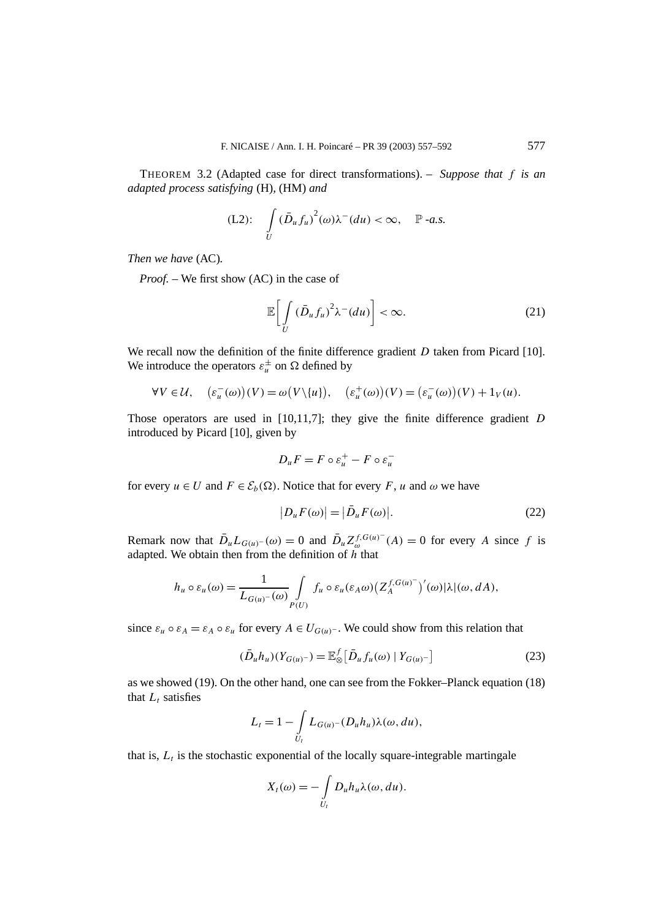THEOREM 3.2 (Adapted case for direct transformations). – *Suppose that f is an adapted process satisfying* (H)*,* (HM) *and*

$$
(L2): \int\limits_{U} (\bar{D}_u f_u)^2(\omega) \lambda^-(du) < \infty, \quad \mathbb{P} \text{ -a.s.}
$$

*Then we have* (AC)*.*

*Proof. –* We first show (AC) in the case of

$$
\mathbb{E}\bigg[\int\limits_{U} \left(\bar{D}_u f_u\right)^2 \lambda^-(du)\bigg] < \infty. \tag{21}
$$

We recall now the definition of the finite difference gradient *D* taken from Picard [10]. We introduce the operators  $\varepsilon_u^{\pm}$  on  $\Omega$  defined by

$$
\forall V \in \mathcal{U}, \quad (\varepsilon_u^-(\omega))(V) = \omega(V \setminus \{u\}), \quad (\varepsilon_u^+(\omega))(V) = (\varepsilon_u^-(\omega))(V) + 1_V(u).
$$

Those operators are used in [10,11,7]; they give the finite difference gradient *D* introduced by Picard [10], given by

$$
D_u F = F \circ \varepsilon_u^+ - F \circ \varepsilon_u^-
$$

for every  $u \in U$  and  $F \in \mathcal{E}_b(\Omega)$ . Notice that for every F, u and  $\omega$  we have

$$
|D_u F(\omega)| = |\bar{D}_u F(\omega)|. \tag{22}
$$

Remark now that  $\bar{D}_u L_{G(u)}$ −(ω) = 0 and  $\bar{D}_u Z_{\omega}^{f, G(u)^-}(A) = 0$  for every *A* since *f* is adapted. We obtain then from the definition of *h* that

$$
h_u \circ \varepsilon_u(\omega) = \frac{1}{L_{G(u)}(\omega)} \int_{P(U)} f_u \circ \varepsilon_u(\varepsilon_A \omega) \big( Z_A^{f, G(u)} \big)'(\omega) |\lambda|(\omega, dA),
$$

since  $\varepsilon_u \circ \varepsilon_A = \varepsilon_A \circ \varepsilon_u$  for every  $A \in U_{G(u)}$ . We could show from this relation that

$$
(\bar{D}_u h_u)(Y_{G(u)^-}) = \mathbb{E}_{\otimes}^f [\bar{D}_u f_u(\omega) | Y_{G(u)^-}] \tag{23}
$$

as we showed (19). On the other hand, one can see from the Fokker–Planck equation (18) that  $L_t$  satisfies

$$
L_t = 1 - \int\limits_{U_t} L_{G(u)^{-}}(D_u h_u) \lambda(\omega, du),
$$

that is,  $L_t$  is the stochastic exponential of the locally square-integrable martingale

$$
X_t(\omega) = -\int_{U_t} D_u h_u \lambda(\omega, du).
$$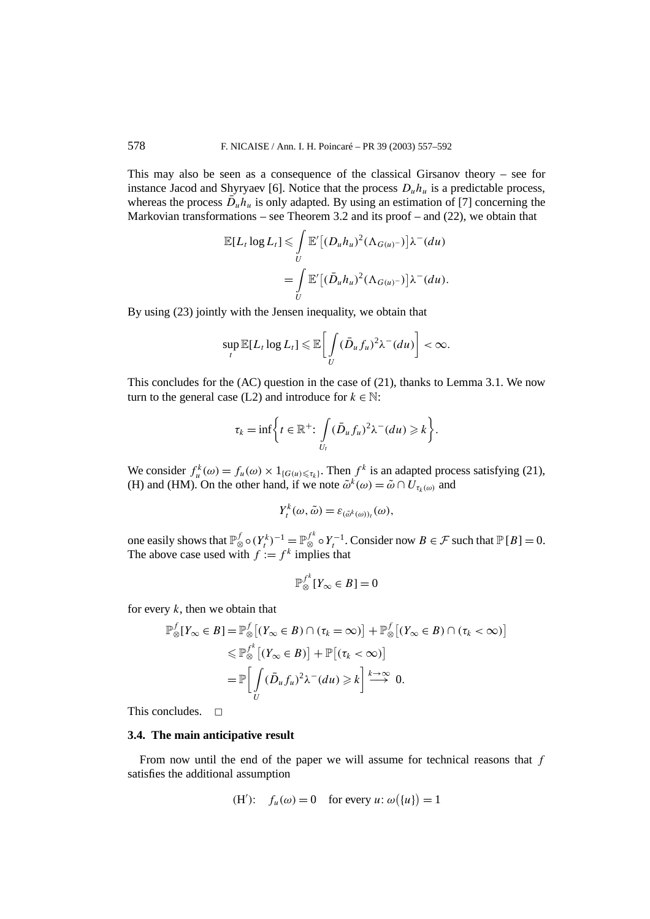This may also be seen as a consequence of the classical Girsanov theory – see for instance Jacod and Shyryaev [6]. Notice that the process  $D<sub>u</sub>h<sub>u</sub>$  is a predictable process, whereas the process  $\bar{D}_u h_u$  is only adapted. By using an estimation of [7] concerning the Markovian transformations – see Theorem 3.2 and its proof – and  $(22)$ , we obtain that

$$
\mathbb{E}[L_t \log L_t] \leq \int\limits_U \mathbb{E}'[(D_u h_u)^2 (\Lambda_{G(u)^-})] \lambda^-(du)
$$
  
= 
$$
\int\limits_U \mathbb{E}'[(\bar{D}_u h_u)^2 (\Lambda_{G(u)^-})] \lambda^-(du).
$$

By using (23) jointly with the Jensen inequality, we obtain that

$$
\sup_t \mathbb{E}[L_t \log L_t] \leq \mathbb{E}\bigg[\int_U (\bar{D}_u f_u)^2 \lambda^-(du)\bigg] < \infty.
$$

This concludes for the (AC) question in the case of (21), thanks to Lemma 3.1. We now turn to the general case (L2) and introduce for  $k \in \mathbb{N}$ :

$$
\tau_k = \inf \bigg\{ t \in \mathbb{R}^+ \colon \int\limits_{U_t} (\bar{D}_u f_u)^2 \lambda^-(du) \geq k \bigg\}.
$$

We consider  $f_u^k(\omega) = f_u(\omega) \times 1_{\{G(u) \leq \tau_k\}}$ . Then  $f^k$  is an adapted process satisfying (21), (H) and (HM). On the other hand, if we note  $\tilde{\omega}^k(\omega) = \tilde{\omega} \cap U_{\tau_k(\omega)}$  and

$$
Y_t^k(\omega,\tilde{\omega})=\varepsilon_{(\tilde{\omega}^k(\omega))_t}(\omega),
$$

one easily shows that  $\mathbb{P}_{\otimes}^f \circ (Y_t^k)^{-1} = \mathbb{P}_{\otimes}^{f^k} \circ Y_t^{-1}$ . Consider now  $B \in \mathcal{F}$  such that  $\mathbb{P}[B] = 0$ . The above case used with  $f := f^k$  implies that

$$
\mathbb{P}_{\otimes}^{f^k}[Y_{\infty} \in B] = 0
$$

for every *k*, then we obtain that

$$
\mathbb{P}_{\otimes}^{f}[Y_{\infty} \in B] = \mathbb{P}_{\otimes}^{f}[(Y_{\infty} \in B) \cap (\tau_{k} = \infty)] + \mathbb{P}_{\otimes}^{f}[(Y_{\infty} \in B) \cap (\tau_{k} < \infty)]
$$
  

$$
\leq \mathbb{P}_{\otimes}^{f^{k}}[(Y_{\infty} \in B)] + \mathbb{P}[(\tau_{k} < \infty)]
$$
  

$$
= \mathbb{P}\Big[\int_{U} (\bar{D}_{u}f_{u})^{2} \lambda^{-}(du) \geq k \Big] \stackrel{k \to \infty}{\longrightarrow} 0.
$$

This concludes.  $\Box$ 

## **3.4. The main anticipative result**

From now until the end of the paper we will assume for technical reasons that *f* satisfies the additional assumption

(H'): 
$$
f_u(\omega) = 0
$$
 for every  $u: \omega(\{u\}) = 1$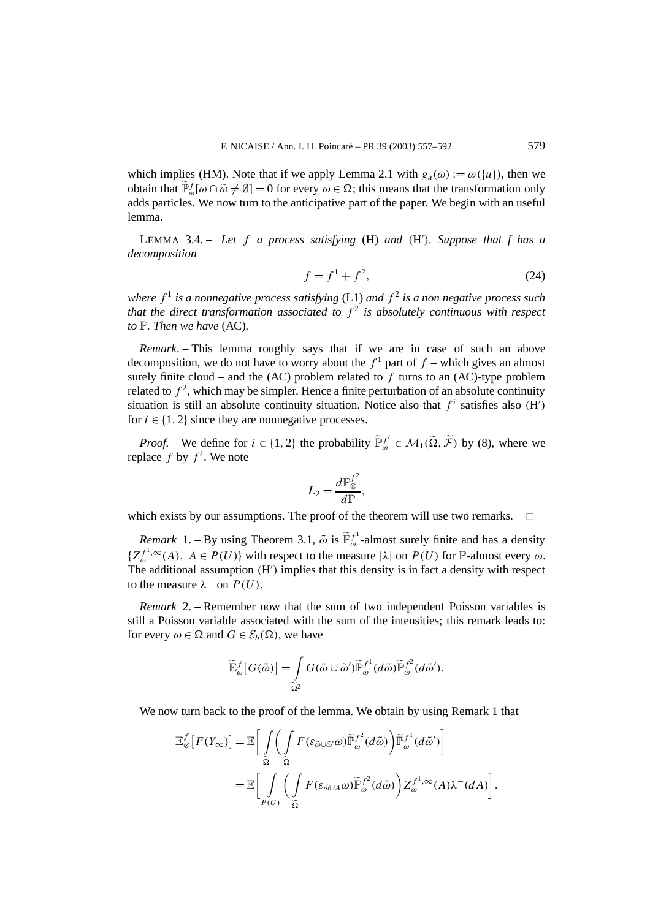which implies (HM). Note that if we apply Lemma 2.1 with  $g_u(\omega) := \omega({u})$ , then we obtain that  $\tilde{\mathbb{P}}_{\omega}^f[\omega \cap \tilde{\omega} \neq \emptyset] = 0$  for every  $\omega \in \Omega$ ; this means that the transformation only adds particles. We now turn to the anticipative part of the paper. We begin with an useful lemma.

LEMMA 3.4. – *Let f a process satisfying* (H) *and (*H *). Suppose that f has a decomposition*

$$
f = f^1 + f^2,\t(24)
$$

*where*  $f<sup>1</sup>$  *is a nonnegative process satisfying* (L1) *and*  $f<sup>2</sup>$  *is a non negative process such that the direct transformation associated to*  $f^2$  *is absolutely continuous with respect to* P*. Then we have* (AC)*.*

*Remark*. – This lemma roughly says that if we are in case of such an above decomposition, we do not have to worry about the  $f<sup>1</sup>$  part of  $f$  – which gives an almost surely finite cloud – and the  $(AC)$  problem related to  $f$  turns to an  $(AC)$ -type problem related to  $f^2$ , which may be simpler. Hence a finite perturbation of an absolute continuity situation is still an absolute continuity situation. Notice also that  $f^i$  satisfies also  $(H')$ for  $i \in \{1, 2\}$  since they are nonnegative processes.

*Proof.* – We define for  $i \in \{1, 2\}$  the probability  $\tilde{\mathbb{P}}_{\omega}^{f^i} \in \mathcal{M}_1(\tilde{\Omega}, \tilde{\mathcal{F}})$  by (8), where we replace  $f$  by  $f^i$ . We note

$$
L_2 = \frac{d\mathbb{P}_{\otimes}^{f^2}}{d\mathbb{P}},
$$

which exists by our assumptions. The proof of the theorem will use two remarks.  $\Box$ 

*Remark* 1. – By using Theorem 3.1,  $\tilde{\omega}$  is  $\tilde{\mathbb{P}}_{\omega}^{f}$ -almost surely finite and has a density  ${Z_{\infty}^{f^{1},\infty}(A), A \in P(U)}$  with respect to the measure  $|\lambda|$  on  $P(U)$  for P-almost every  $\omega$ . The additional assumption *(*H *)* implies that this density is in fact a density with respect to the measure  $\lambda^-$  on  $P(U)$ .

*Remark* 2. – Remember now that the sum of two independent Poisson variables is still a Poisson variable associated with the sum of the intensities; this remark leads to: for every  $\omega \in \Omega$  and  $G \in \mathcal{E}_b(\Omega)$ , we have

$$
\widetilde{\mathbb{E}}_{\omega}^{f}[G(\tilde{\omega})] = \int\limits_{\widetilde{\Omega}^2} G(\tilde{\omega} \cup \tilde{\omega}') \widetilde{\mathbb{P}}_{\omega}^{f^1}(d\tilde{\omega}) \widetilde{\mathbb{P}}_{\omega}^{f^2}(d\tilde{\omega}').
$$

We now turn back to the proof of the lemma. We obtain by using Remark 1 that

$$
\mathbb{E}_{\otimes}^{f}[F(Y_{\infty})] = \mathbb{E}\bigg[\int\limits_{\widetilde{\Omega}}\bigg(\int\limits_{\widetilde{\Omega}}F(\varepsilon_{\widetilde{\omega}\cup\widetilde{\omega}}\omega)\widetilde{\mathbb{P}}_{\omega}^{f^{2}}(d\widetilde{\omega})\bigg)\widetilde{\mathbb{P}}_{\omega}^{f^{1}}(d\widetilde{\omega}')\bigg]
$$
  

$$
= \mathbb{E}\bigg[\int\limits_{P(U)}\bigg(\int\limits_{\widetilde{\Omega}}F(\varepsilon_{\widetilde{\omega}\cup A}\omega)\widetilde{\mathbb{P}}_{\omega}^{f^{2}}(d\widetilde{\omega})\bigg)Z_{\omega}^{f^{1},\infty}(A)\lambda^{-}(dA)\bigg].
$$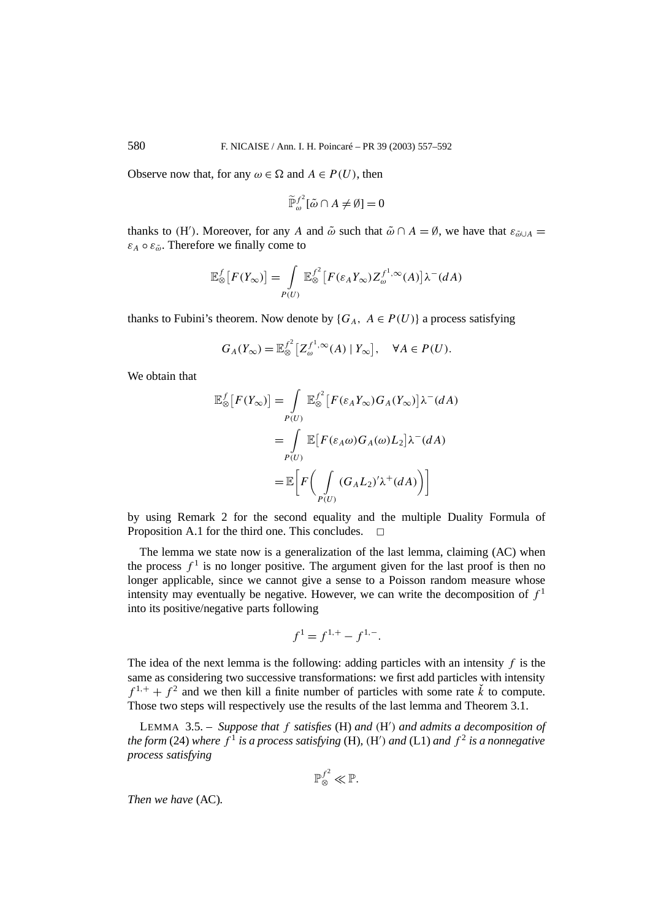Observe now that, for any  $\omega \in \Omega$  and  $A \in P(U)$ , then

$$
\widetilde{\mathbb{P}}_{\omega}^{f^2}[\tilde{\omega} \cap A \neq \emptyset] = 0
$$

thanks to *(H')*. Moreover, for any *A* and  $\tilde{\omega}$  such that  $\tilde{\omega} \cap A = \emptyset$ , we have that  $\varepsilon_{\tilde{\omega} \cup A} =$  $\varepsilon_A \circ \varepsilon_{\tilde{\omega}}$ . Therefore we finally come to

$$
\mathbb{E}_{\otimes}^f[F(Y_{\infty})] = \int_{P(U)} \mathbb{E}_{\otimes}^{f^2} [F(\varepsilon_A Y_{\infty}) Z_{\omega}^{f^1, \infty}(A)] \lambda^-(dA)
$$

thanks to Fubini's theorem. Now denote by  ${G_A, A \in P(U)}$  a process satisfying

$$
G_A(Y_\infty) = \mathbb{E}_{\otimes}^{f^2} \big[ Z_\omega^{f^1, \infty}(A) \mid Y_\infty \big], \quad \forall A \in P(U).
$$

We obtain that

$$
\mathbb{E}_{\otimes}^{f}[F(Y_{\infty})] = \int_{P(U)} \mathbb{E}_{\otimes}^{f^{2}}[F(\varepsilon_{A}Y_{\infty})G_{A}(Y_{\infty})]\lambda^{-}(dA)
$$

$$
= \int_{P(U)} \mathbb{E}[F(\varepsilon_{A}\omega)G_{A}(\omega)L_{2}]\lambda^{-}(dA)
$$

$$
= \mathbb{E}\Big[F\Big(\int_{P(U)} (G_{A}L_{2})'\lambda^{+}(dA)\Big)\Big]
$$

by using Remark 2 for the second equality and the multiple Duality Formula of Proposition A.1 for the third one. This concludes.

The lemma we state now is a generalization of the last lemma, claiming (AC) when the process  $f<sup>1</sup>$  is no longer positive. The argument given for the last proof is then no longer applicable, since we cannot give a sense to a Poisson random measure whose intensity may eventually be negative. However, we can write the decomposition of  $f<sup>1</sup>$ into its positive/negative parts following

$$
f^1 = f^{1,+} - f^{1,-}.
$$

The idea of the next lemma is the following: adding particles with an intensity *f* is the same as considering two successive transformations: we first add particles with intensity  $f^{1,+} + f^2$  and we then kill a finite number of particles with some rate  $\check{k}$  to compute. Those two steps will respectively use the results of the last lemma and Theorem 3.1.

LEMMA 3.5. – *Suppose that f satisfies* (H) *and (*H *) and admits a decomposition of the form* (24) *where f* <sup>1</sup> *is a process satisfying* (H)*, (*H *) and* (L1) *and f* <sup>2</sup> *is a nonnegative process satisfying*

$$
\mathbb{P}^{f^2}_{\otimes} \ll \mathbb{P}.
$$

*Then we have* (AC)*.*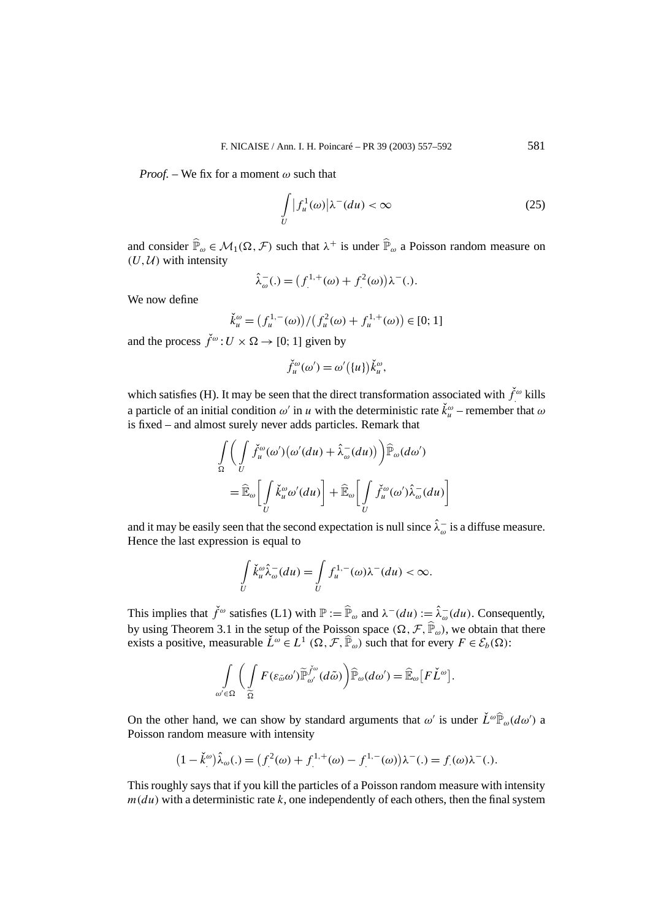*Proof. –* We fix for a moment *ω* such that

$$
\int\limits_U |f_u^1(\omega)|\lambda^-(d u) < \infty \tag{25}
$$

and consider  $\hat{\mathbb{P}}_{\omega} \in \mathcal{M}_1(\Omega, \mathcal{F})$  such that  $\lambda^+$  is under  $\hat{\mathbb{P}}_{\omega}$  a Poisson random measure on  $(U, U)$  with intensity

$$
\hat{\lambda}_{\omega}^{-}(\mathbf{.}) = (f^{1,+}(\omega) + f^{2}(\omega))\lambda^{-}(\mathbf{.}).
$$

We now define

$$
\check{k}_u^{\omega} = (f_u^{1,-}(\omega)) / (f_u^2(\omega) + f_u^{1,+}(\omega)) \in [0;1]
$$

and the process  $\check{f}^{\omega}$ :  $U \times \Omega \rightarrow [0; 1]$  given by

$$
\check{f}_u^{\omega}(\omega') = \omega'(\{u\})\check{k}_u^{\omega},
$$

which satisfies (H). It may be seen that the direct transformation associated with  $\check{f}^{\omega}$  kills a particle of an initial condition  $\omega'$  in *u* with the deterministic rate  $\check{k}_u^{\omega}$  – remember that  $\omega$ is fixed – and almost surely never adds particles. Remark that

$$
\int_{\Omega} \left( \int_{U} \check{f}_{u}^{\omega}(\omega')(\omega'(du) + \hat{\lambda}_{\omega}^{-}(du)) \right) \hat{\mathbb{P}}_{\omega}(d\omega')
$$
\n
$$
= \hat{\mathbb{E}}_{\omega} \left[ \int_{U} \check{k}_{u}^{\omega} \omega'(du) \right] + \hat{\mathbb{E}}_{\omega} \left[ \int_{U} \check{f}_{u}^{\omega}(\omega') \hat{\lambda}_{\omega}^{-}(du) \right]
$$

and it may be easily seen that the second expectation is null since  $\hat{\lambda}_{\omega}^-$  is a diffuse measure. Hence the last expression is equal to

$$
\int\limits_U \check k_u^\omega \hat \lambda_\omega^-(du) = \int\limits_U f_u^{1,-}(\omega) \lambda^-(du) < \infty.
$$

This implies that  $\check{f}^{\omega}$  satisfies (L1) with  $\mathbb{P} := \widehat{\mathbb{P}}_{\omega}$  and  $\lambda^-(du) := \hat{\lambda}^-_{\omega}(du)$ . Consequently, by using Theorem 3.1 in the setup of the Poisson space  $(\Omega, \mathcal{F}, \widehat{\mathbb{P}}_{\omega})$ , we obtain that there exists a positive, measurable  $\check{L}^{\omega} \in L^1(\Omega, \mathcal{F}, \hat{\mathbb{P}}_{\omega})$  such that for every  $F \in \mathcal{E}_b(\Omega)$ :

$$
\int_{\omega'\in\Omega}\bigg(\int\limits_{\widetilde{\Omega}}F(\varepsilon_{\widetilde{\omega}}\omega')\widetilde{\mathbb{P}}_{\omega'}^{\check{f}^{\omega}}(d\widetilde{\omega})\bigg)\widehat{\mathbb{P}}_{\omega}(d\omega')=\widehat{\mathbb{E}}_{\omega}\big[F\check{L}^{\omega}\big].
$$

On the other hand, we can show by standard arguments that  $\omega'$  is under  $\check{L}^{\omega}\hat{\mathbb{P}}_{\omega}(d\omega')$  a Poisson random measure with intensity

$$
(1 - \check{k}^{\omega})\hat{\lambda}_{\omega}(.) = (f^{2}(\omega) + f^{1,+}(\omega) - f^{1,-}(\omega))\lambda^{-}(.) = f(\omega)\lambda^{-}(.)
$$

This roughly says that if you kill the particles of a Poisson random measure with intensity  $m(du)$  with a deterministic rate  $k$ , one independently of each others, then the final system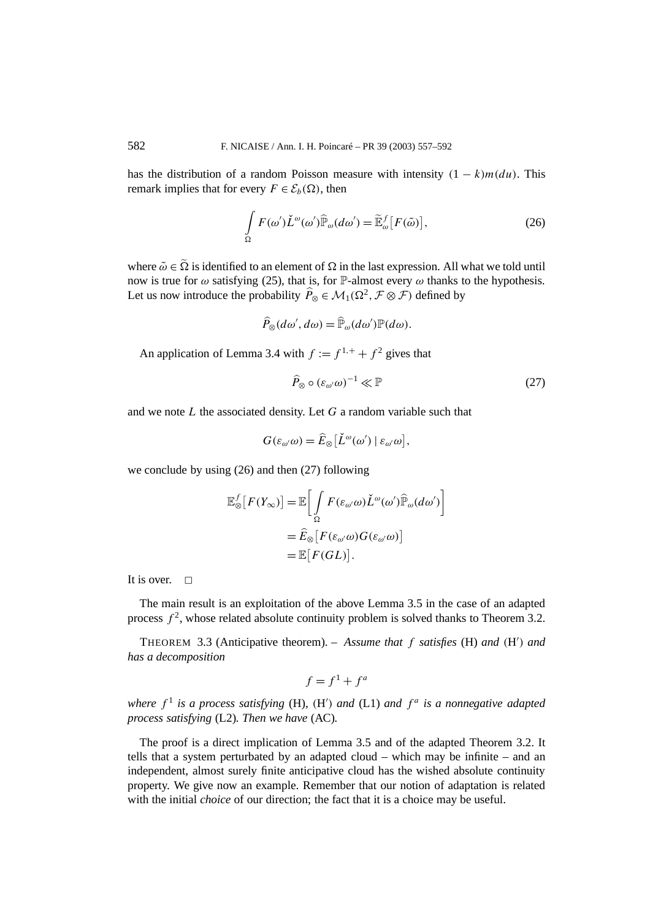has the distribution of a random Poisson measure with intensity  $(1 - k)m(du)$ . This remark implies that for every  $F \in \mathcal{E}_b(\Omega)$ , then

$$
\int_{\Omega} F(\omega') \check{L}^{\omega}(\omega') \widehat{\mathbb{P}}_{\omega}(d\omega') = \widetilde{\mathbb{E}}_{\omega}^{f} [F(\tilde{\omega})],
$$
\n(26)

where  $\tilde{\omega} \in \Omega$  is identified to an element of  $\Omega$  in the last expression. All what we told until now is true for  $\omega$  satisfying (25), that is, for P-almost every  $\omega$  thanks to the hypothesis. Let us now introduce the probability  $\widehat{P}_{\otimes} \in \mathcal{M}_1(\Omega^2, \mathcal{F} \otimes \mathcal{F})$  defined by

$$
\widehat{P}_{\otimes}(d\omega', d\omega) = \widehat{\mathbb{P}}_{\omega}(d\omega')\mathbb{P}(d\omega).
$$

An application of Lemma 3.4 with  $f := f^{1,+} + f^2$  gives that

$$
\widehat{P}_{\otimes} \circ (\varepsilon_{\omega'} \omega)^{-1} \ll \mathbb{P}
$$
\n(27)

and we note *L* the associated density. Let *G* a random variable such that

$$
G(\varepsilon_{\omega'}\omega)=\widehat{E}_{\otimes}[\check{L}^{\omega}(\omega')\mid \varepsilon_{\omega'}\omega],
$$

we conclude by using (26) and then (27) following

$$
\mathbb{E}_{\otimes}^{f}[F(Y_{\infty})] = \mathbb{E}\bigg[\int_{\Omega} F(\varepsilon_{\omega'}\omega) \check{L}^{\omega}(\omega') \hat{\mathbb{P}}_{\omega}(d\omega')\bigg]
$$

$$
= \hat{E}_{\otimes}[F(\varepsilon_{\omega'}\omega)G(\varepsilon_{\omega'}\omega)]
$$

$$
= \mathbb{E}[F(GL)].
$$

It is over.  $\Box$ 

The main result is an exploitation of the above Lemma 3.5 in the case of an adapted process  $f^2$ , whose related absolute continuity problem is solved thanks to Theorem 3.2.

THEOREM 3.3 (Anticipative theorem). – *Assume that f satisfies* (H) *and (*H *) and has a decomposition*

$$
f = f^1 + f^a
$$

*where*  $f^1$  *is a process satisfying* (H), (H') *and* (L1) *and*  $f^a$  *is a nonnegative adapted process satisfying* (L2)*. Then we have* (AC)*.*

The proof is a direct implication of Lemma 3.5 and of the adapted Theorem 3.2. It tells that a system perturbated by an adapted cloud – which may be infinite – and an independent, almost surely finite anticipative cloud has the wished absolute continuity property. We give now an example. Remember that our notion of adaptation is related with the initial *choice* of our direction; the fact that it is a choice may be useful.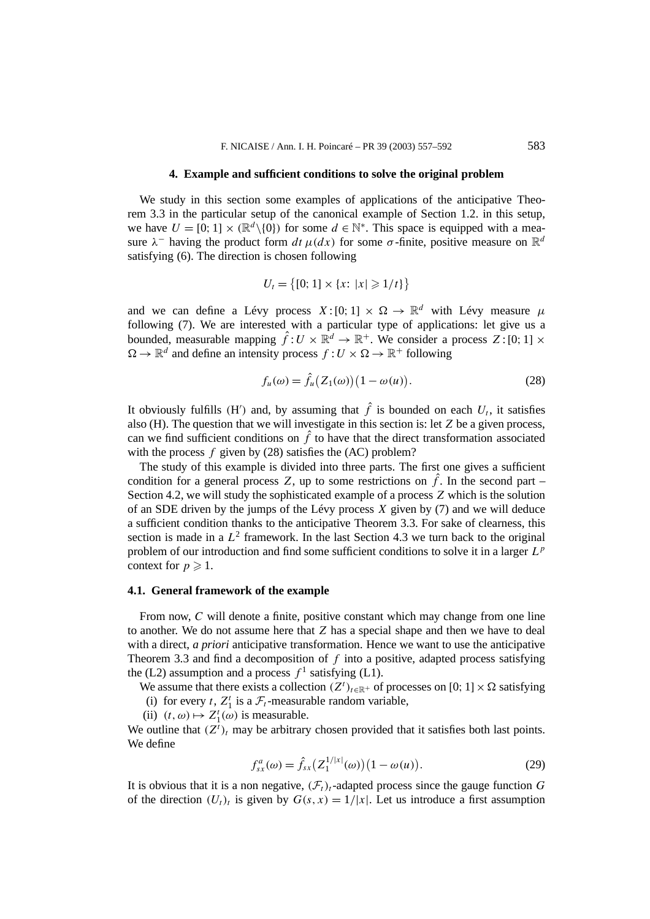#### **4. Example and sufficient conditions to solve the original problem**

We study in this section some examples of applications of the anticipative Theorem 3.3 in the particular setup of the canonical example of Section 1.2. in this setup, we have  $U = [0; 1] \times (\mathbb{R}^d \setminus \{0\})$  for some  $d \in \mathbb{N}^*$ . This space is equipped with a measure  $\lambda^-$  having the product form  $dt \mu(dx)$  for some  $\sigma$ -finite, positive measure on  $\mathbb{R}^d$ satisfying (6). The direction is chosen following

$$
U_t = \{ [0; 1] \times \{x : |x| \geq 1/t \} \}
$$

and we can define a Lévy process  $X:[0;1] \times \Omega \to \mathbb{R}^d$  with Lévy measure  $\mu$ following (7). We are interested with a particular type of applications: let give us a bounded, measurable mapping  $\hat{f}: U \times \mathbb{R}^d \to \mathbb{R}^+$ . We consider a process  $Z: [0; 1] \times$  $\Omega \to \mathbb{R}^d$  and define an intensity process  $f: U \times \Omega \to \mathbb{R}^+$  following

$$
f_u(\omega) = \hat{f}_u(Z_1(\omega)) \big( 1 - \omega(u) \big). \tag{28}
$$

It obviously fulfills (H<sup>'</sup>) and, by assuming that  $\hat{f}$  is bounded on each  $U_t$ , it satisfies also (H). The question that we will investigate in this section is: let *Z* be a given process, can we find sufficient conditions on  $\hat{f}$  to have that the direct transformation associated with the process *f* given by (28) satisfies the (AC) problem?

The study of this example is divided into three parts. The first one gives a sufficient condition for a general process Z, up to some restrictions on  $\hat{f}$ . In the second part – Section 4.2, we will study the sophisticated example of a process *Z* which is the solution of an SDE driven by the jumps of the Lévy process *X* given by (7) and we will deduce a sufficient condition thanks to the anticipative Theorem 3.3. For sake of clearness, this section is made in a  $L^2$  framework. In the last Section 4.3 we turn back to the original problem of our introduction and find some sufficient conditions to solve it in a larger *L<sup>p</sup>* context for  $p \geqslant 1$ .

# **4.1. General framework of the example**

From now, *C* will denote a finite, positive constant which may change from one line to another. We do not assume here that *Z* has a special shape and then we have to deal with a direct, *a priori* anticipative transformation. Hence we want to use the anticipative Theorem 3.3 and find a decomposition of *f* into a positive, adapted process satisfying the (L2) assumption and a process  $f^1$  satisfying (L1).

We assume that there exists a collection  $(Z^t)_{t \in \mathbb{R}^+}$  of processes on [0; 1]  $\times \Omega$  satisfying (i) for every *t*,  $Z_1^t$  is a  $\mathcal{F}_t$ -measurable random variable,

(ii)  $(t, \omega) \mapsto Z_1^t(\omega)$  is measurable.

We outline that  $(Z<sup>t</sup>)<sub>t</sub>$  may be arbitrary chosen provided that it satisfies both last points. We define

$$
f_{sx}^{a}(\omega) = \hat{f}_{sx} \left( Z_1^{1/|x|}(\omega) \right) \left( 1 - \omega(u) \right). \tag{29}
$$

It is obvious that it is a non negative,  $(\mathcal{F}_t)_t$ -adapted process since the gauge function *G* of the direction  $(U_t)_t$  is given by  $G(s, x) = 1/|x|$ . Let us introduce a first assumption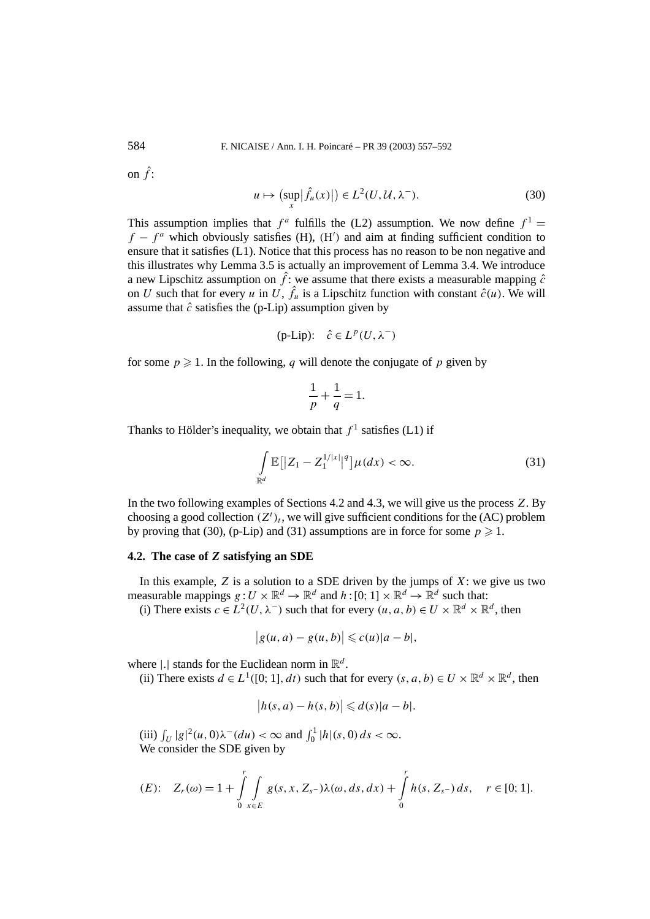on  $\hat{f}$ :

$$
u \mapsto \left(\sup_{x} |\hat{f}_u(x)|\right) \in L^2(U, \mathcal{U}, \lambda^-). \tag{30}
$$

This assumption implies that  $f^a$  fulfills the (L2) assumption. We now define  $f^1$  =  $f - f^a$  which obviously satisfies (H),  $(H')$  and aim at finding sufficient condition to ensure that it satisfies (L1). Notice that this process has no reason to be non negative and this illustrates why Lemma 3.5 is actually an improvement of Lemma 3.4. We introduce a new Lipschitz assumption on  $\hat{f}$ : we assume that there exists a measurable mapping  $\hat{c}$ on *U* such that for every *u* in *U*,  $\hat{f}_u$  is a Lipschitz function with constant  $\hat{c}(u)$ . We will assume that  $\hat{c}$  satisfies the (p-Lip) assumption given by

$$
(p-Lip): \hat{c} \in L^p(U, \lambda^-)
$$

for some  $p \ge 1$ . In the following, q will denote the conjugate of p given by

$$
\frac{1}{p} + \frac{1}{q} = 1.
$$

Thanks to Hölder's inequality, we obtain that  $f^1$  satisfies (L1) if

$$
\int_{\mathbb{R}^d} \mathbb{E}[|Z_1 - Z_1^{1/|x|}|]^q \mu(dx) < \infty. \tag{31}
$$

In the two following examples of Sections 4.2 and 4.3, we will give us the process *Z*. By choosing a good collection  $(Z<sup>t</sup>)_t$ , we will give sufficient conditions for the (AC) problem by proving that (30), (p-Lip) and (31) assumptions are in force for some  $p \ge 1$ .

# **4.2. The case of** *Z* **satisfying an SDE**

In this example,  $Z$  is a solution to a SDE driven by the jumps of  $X$ : we give us two measurable mappings  $g: U \times \mathbb{R}^d \to \mathbb{R}^d$  and  $h: [0; 1] \times \mathbb{R}^d \to \mathbb{R}^d$  such that:

(i) There exists  $c \in L^2(U, \lambda^-)$  such that for every  $(u, a, b) \in U \times \mathbb{R}^d \times \mathbb{R}^d$ , then

$$
|g(u,a)-g(u,b)|\leqslant c(u)|a-b|,
$$

where  $|.|$  stands for the Euclidean norm in  $\mathbb{R}^d$ .

(ii) There exists  $d \in L^1([0; 1], dt)$  such that for every  $(s, a, b) \in U \times \mathbb{R}^d \times \mathbb{R}^d$ , then

$$
|h(s,a) - h(s,b)| \leq d(s)|a - b|.
$$

(iii)  $\int_U |g|^2(u, 0)\lambda^-(du) < \infty$  and  $\int_0^1 |h|(s, 0) ds < \infty$ . We consider the SDE given by

(E): 
$$
Z_r(\omega) = 1 + \int_{0}^r \int_{x \in E} g(s, x, Z_{s-}) \lambda(\omega, ds, dx) + \int_{0}^r h(s, Z_{s-}) ds, \quad r \in [0; 1].
$$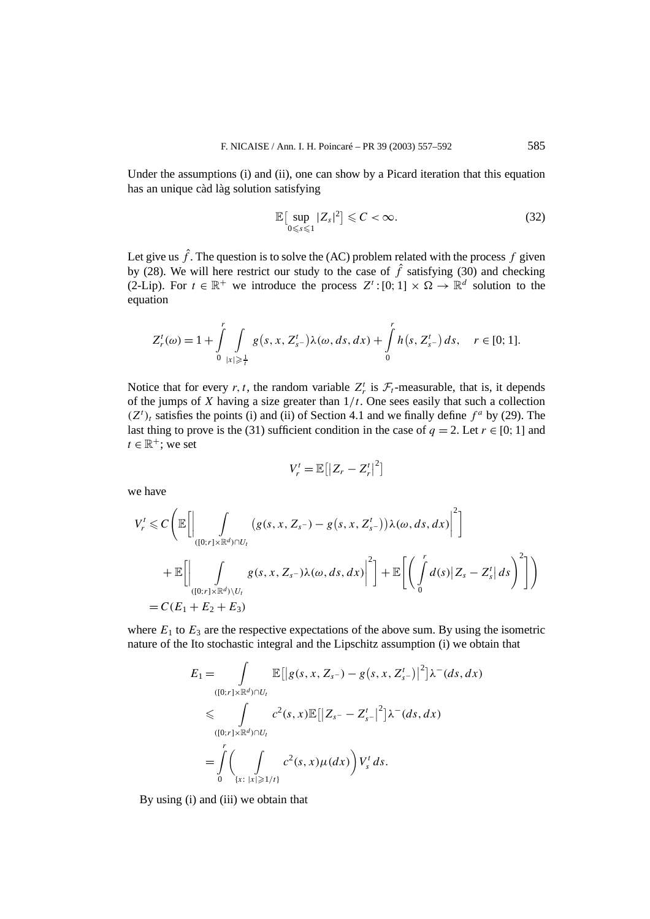Under the assumptions (i) and (ii), one can show by a Picard iteration that this equation has an unique càd làg solution satisfying

$$
\mathbb{E}\big[\sup_{0\leq s\leq 1}|Z_s|^2\big]\leqslant C<\infty.\tag{32}
$$

Let give us  $\hat{f}$ . The question is to solve the (AC) problem related with the process  $f$  given by (28). We will here restrict our study to the case of  $\hat{f}$  satisfying (30) and checking (2-Lip). For  $t \in \mathbb{R}^+$  we introduce the process  $Z^t: [0, 1] \times \Omega \to \mathbb{R}^d$  solution to the equation

$$
Z_r^t(\omega) = 1 + \int_0^r \int_{|x| \ge \frac{1}{t}} g(s, x, Z_{s-}^t) \lambda(\omega, ds, dx) + \int_0^r h(s, Z_{s-}^t) ds, \quad r \in [0; 1].
$$

Notice that for every *r*, *t*, the random variable  $Z_r^t$  is  $\mathcal{F}_t$ -measurable, that is, it depends of the jumps of *X* having a size greater than 1*/t*. One sees easily that such a collection  $(Z<sup>t</sup>)$ <sub>t</sub> satisfies the points (i) and (ii) of Section 4.1 and we finally define  $f<sup>a</sup>$  by (29). The last thing to prove is the (31) sufficient condition in the case of  $q = 2$ . Let  $r \in [0; 1]$  and  $t \in \mathbb{R}^+$ ; we set

$$
V_r^t = \mathbb{E}\big[\big|Z_r - Z_r^t\big|^2\big]
$$

we have

$$
V_r^t \leq C \Bigg( \mathbb{E} \Bigg[ \Bigg| \int_{([0; r] \times \mathbb{R}^d) \cap U_t} \big( g(s, x, Z_{s^-}) - g(s, x, Z_{s^-}^t) \big) \lambda(\omega, ds, dx) \Bigg|^2 \Bigg] + \mathbb{E} \Bigg[ \Bigg| \int_{([0; r] \times \mathbb{R}^d) \setminus U_t} g(s, x, Z_{s^-}) \lambda(\omega, ds, dx) \Bigg|^2 \Bigg] + \mathbb{E} \Bigg[ \Bigg( \int_0^r d(s) \big| Z_s - Z_s^t \big| ds \Bigg)^2 \Bigg] \Bigg) = C(E_1 + E_2 + E_3)
$$

where  $E_1$  to  $E_3$  are the respective expectations of the above sum. By using the isometric nature of the Ito stochastic integral and the Lipschitz assumption (i) we obtain that

$$
E_{1} = \int_{([0,r] \times \mathbb{R}^{d}) \cap U_{t}} \mathbb{E}[|g(s, x, Z_{s^{-}}) - g(s, x, Z_{s^{-}}^{t})|^{2}] \lambda^{-}(ds, dx)
$$
  

$$
\leq \int_{([0,r] \times \mathbb{R}^{d}) \cap U_{t}} c^{2}(s, x) \mathbb{E}[|Z_{s^{-}} - Z_{s^{-}}^{t}|^{2}] \lambda^{-}(ds, dx)
$$
  

$$
= \int_{0}^{r} \left(\int_{\{x: |x| \geq 1/t\}} c^{2}(s, x) \mu(dx)\right) V_{s}^{t} ds.
$$

By using (i) and (iii) we obtain that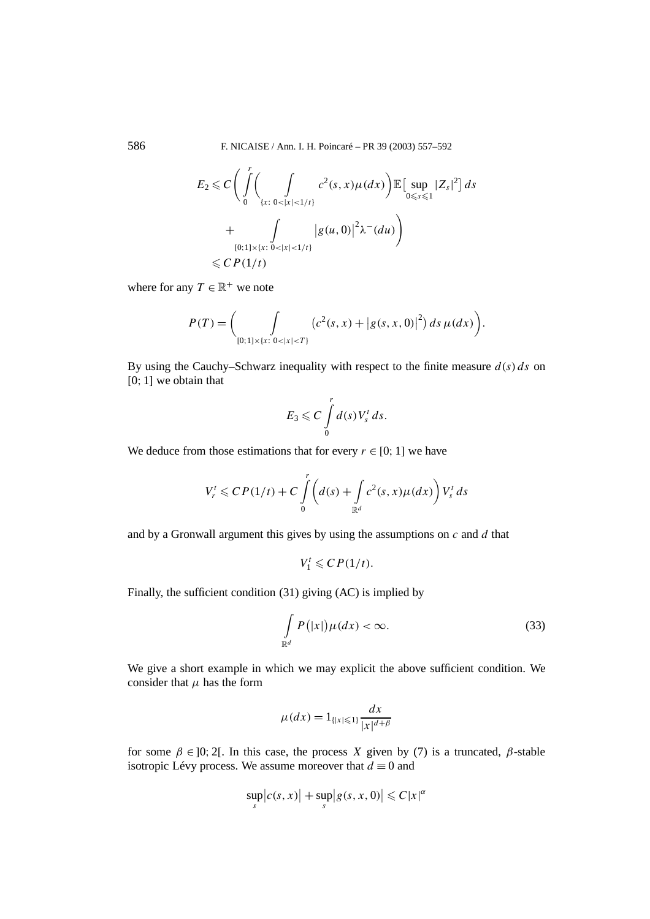586 F. NICAISE / Ann. I. H. Poincaré – PR 39 (2003) 557–592

$$
E_2 \leq C \Bigg( \int_0^r \Bigg( \int_{\{x: 0 < |x| < 1/t\}} c^2(s, x) \mu(dx) \Bigg) \mathbb{E} \Big[ \sup_{0 \leq s \leq 1} |Z_s|^2 \Big] ds
$$
\n
$$
+ \int_{\substack{[0; 1] \times \{x: 0 < |x| < 1/t\}} } |g(u, 0)|^2 \lambda^-(du) \Bigg)
$$
\n
$$
\leq C P(1/t)
$$

where for any  $T \in \mathbb{R}^+$  we note

$$
P(T) = \bigg(\int_{[0;1] \times \{x: \ 0 < |x| < T\}} \big(c^2(s,x) + \big|g(s,x,0)\big|^2\big) \, ds \, \mu(dx)\bigg).
$$

By using the Cauchy–Schwarz inequality with respect to the finite measure *d(s) ds* on [0; 1] we obtain that

$$
E_3 \leqslant C \int\limits_0^r d(s) V_s^t ds.
$$

We deduce from those estimations that for every  $r \in [0, 1]$  we have

$$
V_r^t \leqslant CP(1/t) + C \int\limits_0^r \left(d(s) + \int\limits_{\mathbb{R}^d} c^2(s,x)\mu(dx)\right) V_s^t ds
$$

and by a Gronwall argument this gives by using the assumptions on *c* and *d* that

 $V_1^t \leqslant CP(1/t).$ 

Finally, the sufficient condition (31) giving (AC) is implied by

$$
\int_{\mathbb{R}^d} P(|x|) \mu(dx) < \infty. \tag{33}
$$

We give a short example in which we may explicit the above sufficient condition. We consider that  $\mu$  has the form

$$
\mu(dx) = 1_{\{|x| \le 1\}} \frac{dx}{|x|^{d+\beta}}
$$

for some  $\beta \in ]0; 2[$ . In this case, the process *X* given by (7) is a truncated,  $\beta$ -stable isotropic Lévy process. We assume moreover that  $d \equiv 0$  and

$$
\sup_{s}|c(s,x)|+\sup_{s}|g(s,x,0)|\leqslant C|x|^{\alpha}
$$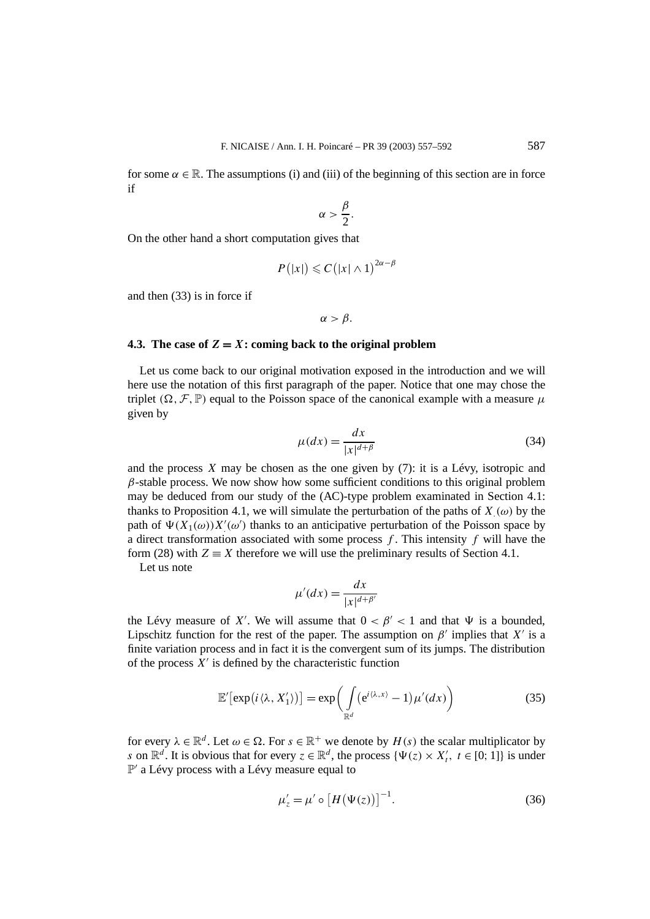for some  $\alpha \in \mathbb{R}$ . The assumptions (i) and (iii) of the beginning of this section are in force if

$$
\alpha > \frac{\beta}{2}.
$$

On the other hand a short computation gives that

$$
P(|x|) \leqslant C(|x| \wedge 1)^{2\alpha - \beta}
$$

and then (33) is in force if

*α > β.*

# **4.3.** The case of  $Z = X$ **: coming back to the original problem**

Let us come back to our original motivation exposed in the introduction and we will here use the notation of this first paragraph of the paper. Notice that one may chose the triplet  $(\Omega, \mathcal{F}, \mathbb{P})$  equal to the Poisson space of the canonical example with a measure  $\mu$ given by

$$
\mu(dx) = \frac{dx}{|x|^{d+\beta}}
$$
\n(34)

and the process  $X$  may be chosen as the one given by  $(7)$ : it is a Lévy, isotropic and  $\beta$ -stable process. We now show how some sufficient conditions to this original problem may be deduced from our study of the (AC)-type problem examinated in Section 4.1: thanks to Proposition 4.1, we will simulate the perturbation of the paths of  $X(\omega)$  by the path of  $\Psi(X_1(\omega))X'(\omega')$  thanks to an anticipative perturbation of the Poisson space by a direct transformation associated with some process *f* . This intensity *f* will have the form (28) with  $Z \equiv X$  therefore we will use the preliminary results of Section 4.1.

Let us note

$$
\mu'(dx) = \frac{dx}{|x|^{d+\beta'}}
$$

the Lévy measure of *X'*. We will assume that  $0 < \beta' < 1$  and that  $\Psi$  is a bounded, Lipschitz function for the rest of the paper. The assumption on  $\beta'$  implies that  $X'$  is a finite variation process and in fact it is the convergent sum of its jumps. The distribution of the process  $X'$  is defined by the characteristic function

$$
\mathbb{E}'\big[\exp\big(i\langle \lambda, X'_1\rangle\big)\big] = \exp\biggl(\int\limits_{\mathbb{R}^d} \big(e^{i\langle \lambda, x\rangle} - 1\big)\mu'(dx)\biggr) \tag{35}
$$

for every  $\lambda \in \mathbb{R}^d$ . Let  $\omega \in \Omega$ . For  $s \in \mathbb{R}^+$  we denote by  $H(s)$  the scalar multiplicator by *s* on  $\mathbb{R}^d$ . It is obvious that for every  $z \in \mathbb{R}^d$ , the process  $\{\Psi(z) \times X'_t, t \in [0, 1]\}$  is under  $\mathbb{P}'$  a Lévy process with a Lévy measure equal to

$$
\mu'_z = \mu' \circ \left[ H(\Psi(z)) \right]^{-1}.
$$
\n(36)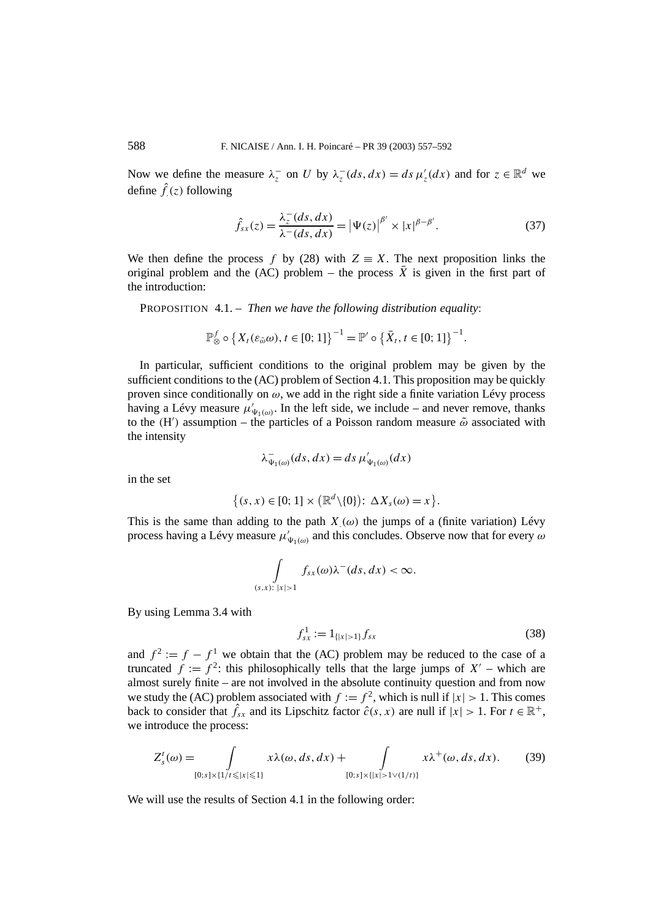Now we define the measure  $\lambda_z^-$  on *U* by  $\lambda_z^-(ds, dx) = ds \mu'_z(dx)$  and for  $z \in \mathbb{R}^d$  we define  $\hat{f}(z)$  following

$$
\hat{f}_{sx}(z) = \frac{\lambda_z^-(ds, dx)}{\lambda^-(ds, dx)} = |\Psi(z)|^{\beta'} \times |x|^{\beta - \beta'}.
$$
\n(37)

We then define the process *f* by (28) with  $Z \equiv X$ . The next proposition links the original problem and the (AC) problem – the process  $\overline{X}$  is given in the first part of the introduction:

PROPOSITION 4.1. – *Then we have the following distribution equality*:

$$
\mathbb{P}_{\otimes}^f \circ \left\{ X_t(\varepsilon_{\tilde{\omega}}\omega), t \in [0;1] \right\}^{-1} = \mathbb{P}' \circ \left\{ \bar{X}_t, t \in [0;1] \right\}^{-1}.
$$

In particular, sufficient conditions to the original problem may be given by the sufficient conditions to the (AC) problem of Section 4.1. This proposition may be quickly proven since conditionally on *ω*, we add in the right side a finite variation Lévy process having a Lévy measure  $\mu'_{\Psi_1(\omega)}$ . In the left side, we include – and never remove, thanks to the  $(H')$  assumption – the particles of a Poisson random measure  $\tilde{\omega}$  associated with the intensity

$$
\lambda_{\Psi_1(\omega)}^-(ds, dx) = ds \mu'_{\Psi_1(\omega)}(dx)
$$

in the set

$$
\{(s,x)\in[0;1]\times(\mathbb{R}^d\backslash\{0\})\colon \Delta X_s(\omega)=x\}.
$$

This is the same than adding to the path  $X(\omega)$  the jumps of a (finite variation) Lévy process having a Lévy measure  $\mu'_{\Psi_1(\omega)}$  and this concludes. Observe now that for every  $\omega$ 

$$
\int\limits_{(s,x):\,|x|>1}f_{sx}(\omega)\lambda^-(ds,dx)<\infty.
$$

By using Lemma 3.4 with

$$
f_{sx}^1 := 1_{\{|x| > 1\}} f_{sx} \tag{38}
$$

and  $f^2 := f - f^1$  we obtain that the (AC) problem may be reduced to the case of a truncated  $f := f^2$ : this philosophically tells that the large jumps of  $X'$  – which are almost surely finite – are not involved in the absolute continuity question and from now we study the (AC) problem associated with  $f := f^2$ , which is null if  $|x| > 1$ . This comes back to consider that  $\hat{f}_{sx}$  and its Lipschitz factor  $\hat{c}(s, x)$  are null if  $|x| > 1$ . For  $t \in \mathbb{R}^+$ , we introduce the process:

$$
Z_s^t(\omega) = \int_{[0;s] \times \{1/t \le |x| \le 1\}} x \lambda(\omega, ds, dx) + \int_{[0;s] \times \{|x| > 1 \vee (1/t)\}} x \lambda^+(\omega, ds, dx). \tag{39}
$$

We will use the results of Section 4.1 in the following order: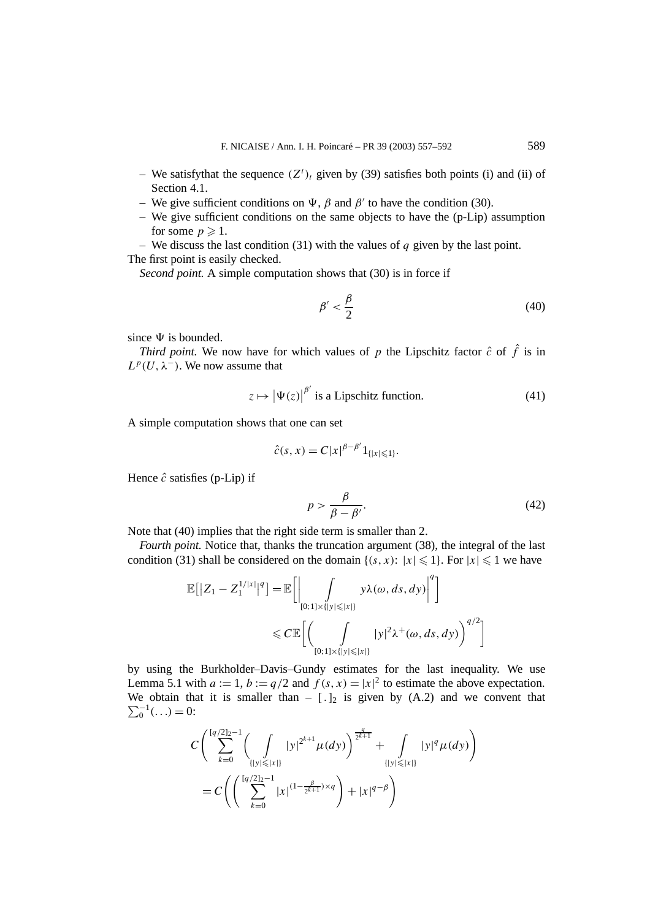- We satisfythat the sequence  $(Z<sup>t</sup>)<sub>t</sub>$  given by (39) satisfies both points (i) and (ii) of Section 4.1.
- We give sufficient conditions on  $\Psi$ , *β* and *β'* to have the condition (30).
- We give sufficient conditions on the same objects to have the (p-Lip) assumption for some  $p \geqslant 1$ .

– We discuss the last condition (31) with the values of *q* given by the last point. The first point is easily checked.

*Second point.* A simple computation shows that (30) is in force if

$$
\beta' < \frac{\beta}{2} \tag{40}
$$

since  $\Psi$  is bounded.

*Third point.* We now have for which values of *p* the Lipschitz factor  $\hat{c}$  of  $\hat{f}$  is in  $L^p(U, \lambda^-)$ . We now assume that

$$
z \mapsto |\Psi(z)|^{\beta'} \text{ is a Lipschitz function.}
$$
 (41)

A simple computation shows that one can set

$$
\hat{c}(s, x) = C|x|^{\beta - \beta'} 1_{\{|x| \leq 1\}}.
$$

Hence  $\hat{c}$  satisfies (p-Lip) if

$$
p > \frac{\beta}{\beta - \beta'}.\tag{42}
$$

Note that (40) implies that the right side term is smaller than 2.

*Fourth point.* Notice that, thanks the truncation argument (38), the integral of the last condition (31) shall be considered on the domain  $\{(s, x): |x| \leq 1\}$ . For  $|x| \leq 1$  we have

$$
\mathbb{E}\big[|Z_1 - Z_1^{1/|x|}\big|^q\big] = \mathbb{E}\bigg[\bigg|\int_{[0;1] \times \{|y| \leq |x|\}} y\lambda(\omega, ds, dy)\bigg|^q\bigg]
$$
  
 
$$
\leq C \mathbb{E}\bigg[\bigg(\int_{[0;1] \times \{|y| \leq |x|\}} |y|^2\lambda^+(\omega, ds, dy)\bigg)^{q/2}\bigg]
$$

by using the Burkholder–Davis–Gundy estimates for the last inequality. We use Lemma 5.1 with  $a := 1$ ,  $b := q/2$  and  $f(s, x) = |x|^2$  to estimate the above expectation. We obtain that it is smaller than  $-$  [.]<sub>2</sub> is given by (A.2) and we convent that  $\sum_0^{-1}$ (...) = 0:

$$
C\left(\sum_{k=0}^{[q/2]_2-1} \left(\int\limits_{\{|y|\leq |x|\}} |y|^{2^{k+1}} \mu(dy)\right)^{\frac{q}{2^{k+1}}} + \int\limits_{\{|y|\leq |x|\}} |y|^q \mu(dy)\right)
$$
  
= 
$$
C\left(\left(\sum_{k=0}^{[q/2]_2-1} |x|^{(1-\frac{\beta}{2^{k+1}})\times q}\right) + |x|^{q-\beta}\right)
$$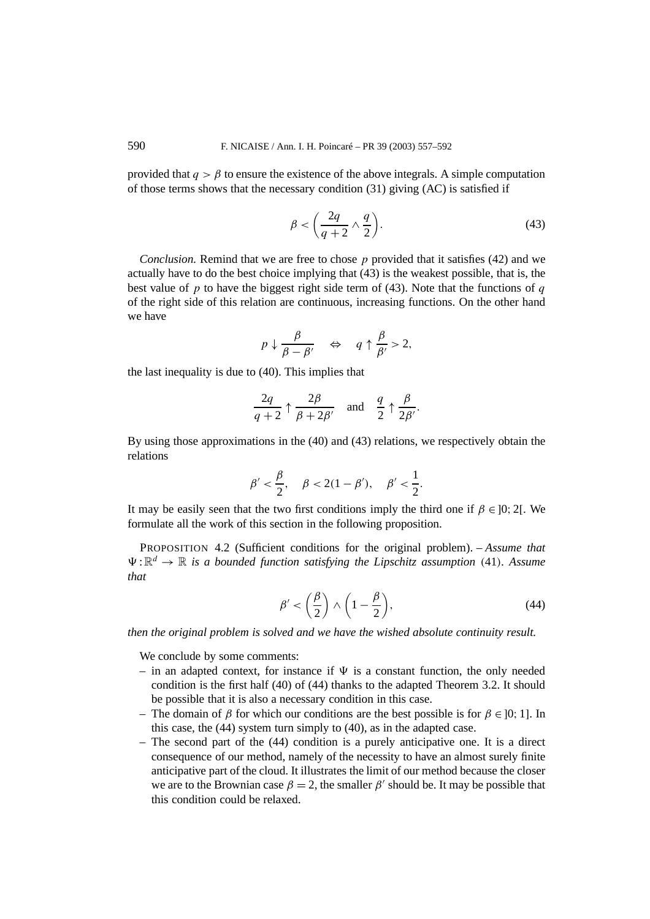provided that  $q > \beta$  to ensure the existence of the above integrals. A simple computation of those terms shows that the necessary condition (31) giving (AC) is satisfied if

$$
\beta < \left(\frac{2q}{q+2} \wedge \frac{q}{2}\right). \tag{43}
$$

*Conclusion.* Remind that we are free to chose *p* provided that it satisfies (42) and we actually have to do the best choice implying that (43) is the weakest possible, that is, the best value of *p* to have the biggest right side term of (43). Note that the functions of *q* of the right side of this relation are continuous, increasing functions. On the other hand we have

$$
p \downarrow \frac{\beta}{\beta - \beta'} \quad \Leftrightarrow \quad q \uparrow \frac{\beta}{\beta'} > 2,
$$

the last inequality is due to (40). This implies that

$$
\frac{2q}{q+2} \uparrow \frac{2\beta}{\beta+2\beta'} \quad \text{and} \quad \frac{q}{2} \uparrow \frac{\beta}{2\beta'}.
$$

By using those approximations in the (40) and (43) relations, we respectively obtain the relations

$$
\beta' < \frac{\beta}{2}
$$
,  $\beta < 2(1 - \beta')$ ,  $\beta' < \frac{1}{2}$ .

It may be easily seen that the two first conditions imply the third one if  $\beta \in ]0; 2[$ . We formulate all the work of this section in the following proposition.

PROPOSITION 4.2 (Sufficient conditions for the original problem). – *Assume that*  $\Psi: \mathbb{R}^d \to \mathbb{R}$  *is a bounded function satisfying the Lipschitz assumption* (41)*. Assume that*

$$
\beta' < \left(\frac{\beta}{2}\right) \land \left(1 - \frac{\beta}{2}\right),\tag{44}
$$

*then the original problem is solved and we have the wished absolute continuity result.*

We conclude by some comments:

- in an adapted context, for instance if  $\Psi$  is a constant function, the only needed condition is the first half (40) of (44) thanks to the adapted Theorem 3.2. It should be possible that it is also a necessary condition in this case.
- The domain of *β* for which our conditions are the best possible is for *β* ∈ ]0; 1]. In this case, the (44) system turn simply to (40), as in the adapted case.
- The second part of the (44) condition is a purely anticipative one. It is a direct consequence of our method, namely of the necessity to have an almost surely finite anticipative part of the cloud. It illustrates the limit of our method because the closer we are to the Brownian case  $\beta = 2$ , the smaller  $\beta'$  should be. It may be possible that this condition could be relaxed.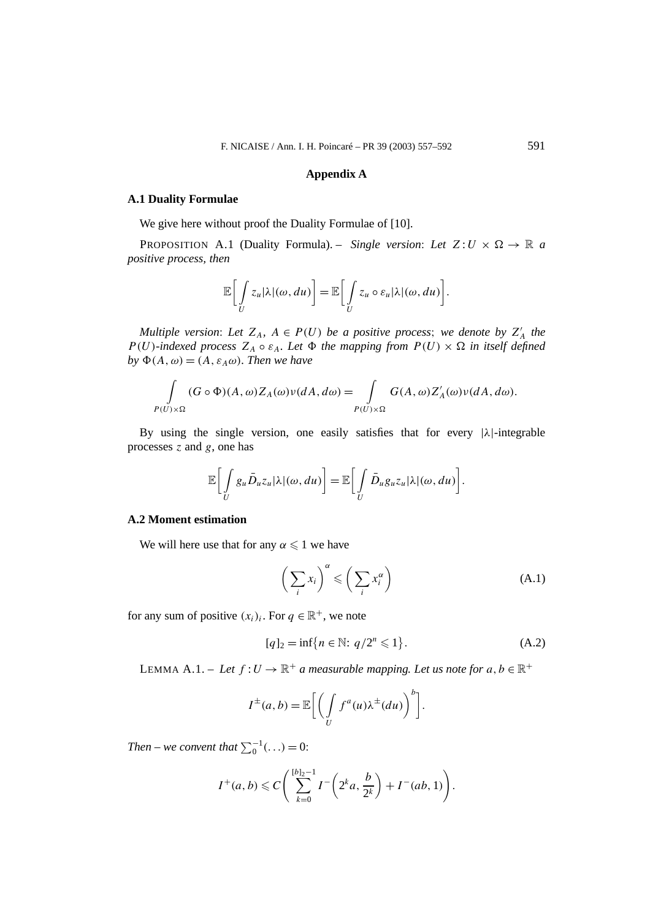## **Appendix A**

# **A.1 Duality Formulae**

We give here without proof the Duality Formulae of [10].

PROPOSITION A.1 (Duality Formula). – *Single version: Let*  $Z: U \times \Omega \rightarrow \mathbb{R}$  *a positive process, then*

$$
\mathbb{E}\bigg[\int\limits_U z_u |\lambda|(\omega, du)\bigg] = \mathbb{E}\bigg[\int\limits_U z_u \circ \varepsilon_u |\lambda|(\omega, du)\bigg].
$$

*Multiple version:* Let  $Z_A$ ,  $A \in P(U)$  *be a positive process; we denote by*  $Z'_A$  *the P*(*U*)*-indexed process*  $Z_A \circ \varepsilon_A$ *. Let*  $\Phi$  *the mapping from*  $P(U) \times \Omega$  *in itself defined*  $by \Phi(A, \omega) = (A, \varepsilon_A \omega)$ *. Then we have* 

$$
\int_{P(U)\times\Omega} (G\circ\Phi)(A,\omega)Z_A(\omega)\nu(dA,d\omega) = \int_{P(U)\times\Omega} G(A,\omega)Z'_A(\omega)\nu(dA,d\omega).
$$

By using the single version, one easily satisfies that for every  $|\lambda|$ -integrable processes *z* and *g*, one has

$$
\mathbb{E}\bigg[\int\limits_{U}g_u\bar{D}_uz_u|\lambda|(\omega,du)\bigg]=\mathbb{E}\bigg[\int\limits_{U}\bar{D}_ug_uz_u|\lambda|(\omega,du)\bigg].
$$

# **A.2 Moment estimation**

We will here use that for any  $\alpha \leq 1$  we have

$$
\left(\sum_{i} x_{i}\right)^{\alpha} \leqslant \left(\sum_{i} x_{i}^{\alpha}\right) \tag{A.1}
$$

for any sum of positive  $(x_i)_i$ . For  $q \in \mathbb{R}^+$ , we note

$$
[q]_2 = \inf\{n \in \mathbb{N}: q/2^n \leq 1\}.
$$
 (A.2)

LEMMA A.1. – Let  $f: U \to \mathbb{R}^+$  a measurable mapping. Let us note for  $a, b \in \mathbb{R}^+$ 

$$
I^{\pm}(a,b) = \mathbb{E}\bigg[\bigg(\int\limits_{U} f^{a}(u)\lambda^{\pm}(du)\bigg)^{b}\bigg].
$$

*Then* – we convent that  $\sum_{0}^{-1} (...)=0$ :

$$
I^+(a, b) \leq C \left( \sum_{k=0}^{\lfloor b \rfloor_2 - 1} I^- \left( 2^k a, \frac{b}{2^k} \right) + I^-(ab, 1) \right).
$$